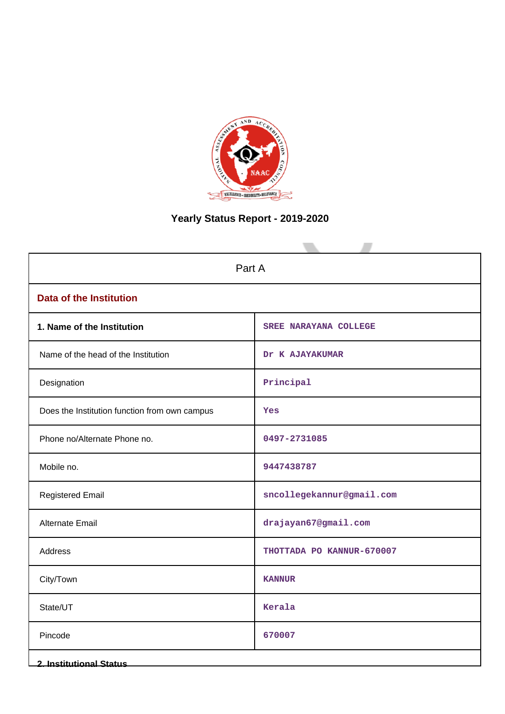

# **Yearly Status Report - 2019-2020**

| Part A                                        |                              |  |  |  |
|-----------------------------------------------|------------------------------|--|--|--|
| <b>Data of the Institution</b>                |                              |  |  |  |
| 1. Name of the Institution                    | <b>SREE NARAYANA COLLEGE</b> |  |  |  |
| Name of the head of the Institution           | Dr K AJAYAKUMAR              |  |  |  |
| Designation                                   | Principal                    |  |  |  |
| Does the Institution function from own campus | Yes                          |  |  |  |
| Phone no/Alternate Phone no.                  | 0497-2731085                 |  |  |  |
| Mobile no.                                    | 9447438787                   |  |  |  |
| <b>Registered Email</b>                       | sncollegekannur@gmail.com    |  |  |  |
| <b>Alternate Email</b>                        | drajayan67@gmail.com         |  |  |  |
| Address                                       | THOTTADA PO KANNUR-670007    |  |  |  |
| City/Town                                     | <b>KANNUR</b>                |  |  |  |
| State/UT                                      | Kerala                       |  |  |  |
| Pincode                                       | 670007                       |  |  |  |
| <b>2. Institutional Status</b>                |                              |  |  |  |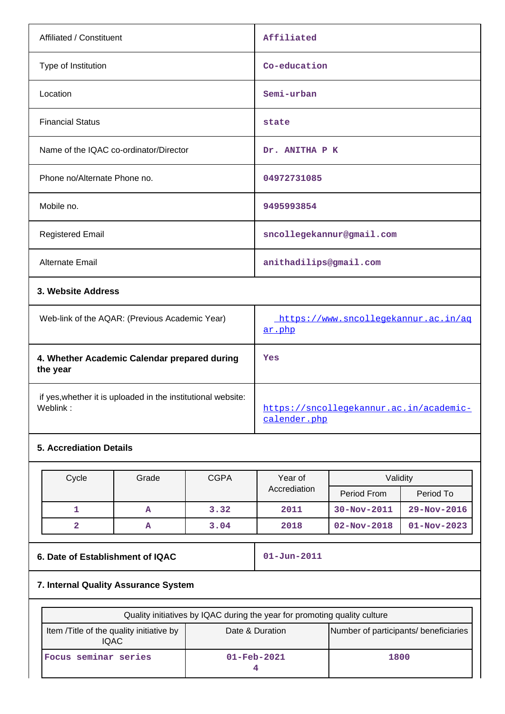| Affiliated / Constituent                       | Affiliated                                     |
|------------------------------------------------|------------------------------------------------|
| Type of Institution                            | Co-education                                   |
| Location                                       | Semi-urban                                     |
| <b>Financial Status</b>                        | state                                          |
| Name of the IQAC co-ordinator/Director         | Dr. ANITHA P K                                 |
| Phone no/Alternate Phone no.                   | 04972731085                                    |
| Mobile no.                                     | 9495993854                                     |
| <b>Registered Email</b>                        | sncollegekannur@gmail.com                      |
| <b>Alternate Email</b>                         | anithadilips@gmail.com                         |
| 3. Website Address                             |                                                |
| Web-link of the AQAR: (Previous Academic Year) | https://www.sncollegekannur.ac.in/ag<br>ar.php |

|                                                                          | al. plip                                                |
|--------------------------------------------------------------------------|---------------------------------------------------------|
| 4. Whether Academic Calendar prepared during<br>the year                 | Yes                                                     |
| if yes, whether it is uploaded in the institutional website:<br>Weblink: | https://sncollegekannur.ac.in/academic-<br>calender.php |

# **5. Accrediation Details**

| Cycle | Grade | <b>CGPA</b> | Year of      | Validity          |                   |
|-------|-------|-------------|--------------|-------------------|-------------------|
|       |       |             | Accrediation | Period From       | Period To         |
|       | A     | 3.32        | 2011         | $30 - Nov - 2011$ | $29 - Nov - 2016$ |
|       | А     | 3.04        | 2018         | $02 - Nov - 2018$ | $01 - Nov - 2023$ |

# **6. Date of Establishment of IQAC** 01-Jun-2011

# **7. Internal Quality Assurance System**

| Quality initiatives by IQAC during the year for promoting quality culture |                          |                                       |  |  |
|---------------------------------------------------------------------------|--------------------------|---------------------------------------|--|--|
| Item /Title of the quality initiative by<br><b>IQAC</b>                   | Date & Duration          | Number of participants/ beneficiaries |  |  |
| Focus seminar series                                                      | $01 - \text{Feb} - 2021$ | 1800                                  |  |  |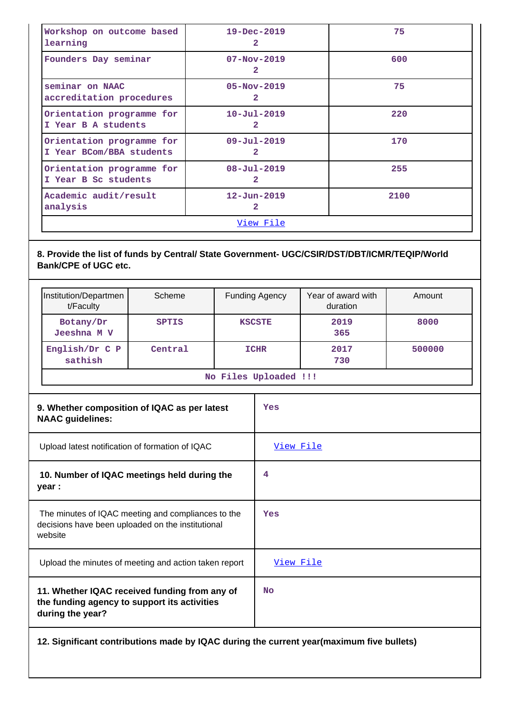| Workshop on outcome based<br>learning                                                                              |                                                                         |                        |   |                | $19 - Dec - 2019$<br>$\mathbf{2}$   |                         | 75     |
|--------------------------------------------------------------------------------------------------------------------|-------------------------------------------------------------------------|------------------------|---|----------------|-------------------------------------|-------------------------|--------|
|                                                                                                                    | Founders Day seminar                                                    | $07 - Nov - 2019$<br>2 |   |                |                                     | 600                     |        |
|                                                                                                                    | seminar on NAAC<br>accreditation procedures                             |                        |   |                | $05 - Nov - 2019$<br>$\mathbf{2}$   |                         | 75     |
|                                                                                                                    | Orientation programme for<br>I Year B A students                        |                        |   |                | $10 - Ju1 - 2019$<br>$\mathbf{2}$   |                         | 220    |
|                                                                                                                    | Orientation programme for<br>I Year BCom/BBA students                   |                        |   |                | $09 - Ju1 - 2019$<br>$\overline{2}$ |                         | 170    |
|                                                                                                                    | Orientation programme for<br>I Year B Sc students                       |                        |   |                | $08 - Ju1 - 2019$<br>2              |                         | 255    |
|                                                                                                                    | Academic audit/result<br>analysis                                       |                        |   |                | $12 - Jun - 2019$<br>$\overline{2}$ |                         | 2100   |
|                                                                                                                    |                                                                         |                        |   |                | View File                           |                         |        |
| <b>Bank/CPE of UGC etc.</b><br>Institution/Departmen<br>Scheme                                                     |                                                                         |                        |   | Funding Agency |                                     | Year of award with      | Amount |
|                                                                                                                    | t/Faculty<br>Botany/Dr<br>Jeeshna M V                                   | <b>SPTIS</b>           |   |                | <b>KSCSTE</b>                       | duration<br>2019<br>365 | 8000   |
|                                                                                                                    | English/Dr C P<br>sathish                                               | Central                |   |                | <b>ICHR</b>                         | 2017<br>730             | 500000 |
|                                                                                                                    | No Files Uploaded !!!                                                   |                        |   |                |                                     |                         |        |
|                                                                                                                    | 9. Whether composition of IQAC as per latest<br><b>NAAC</b> guidelines: |                        |   |                | Yes                                 |                         |        |
|                                                                                                                    | Upload latest notification of formation of IQAC                         |                        |   |                | View File                           |                         |        |
|                                                                                                                    | 10. Number of IQAC meetings held during the<br>year :                   |                        | 4 |                |                                     |                         |        |
| The minutes of IQAC meeting and compliances to the<br>decisions have been uploaded on the institutional<br>website |                                                                         | Yes                    |   |                |                                     |                         |        |
|                                                                                                                    | Upload the minutes of meeting and action taken report                   |                        |   |                | View File                           |                         |        |
| 11. Whether IQAC received funding from any of<br>the funding agency to support its activities<br>during the year?  |                                                                         | <b>No</b>              |   |                |                                     |                         |        |

**12. Significant contributions made by IQAC during the current year(maximum five bullets)**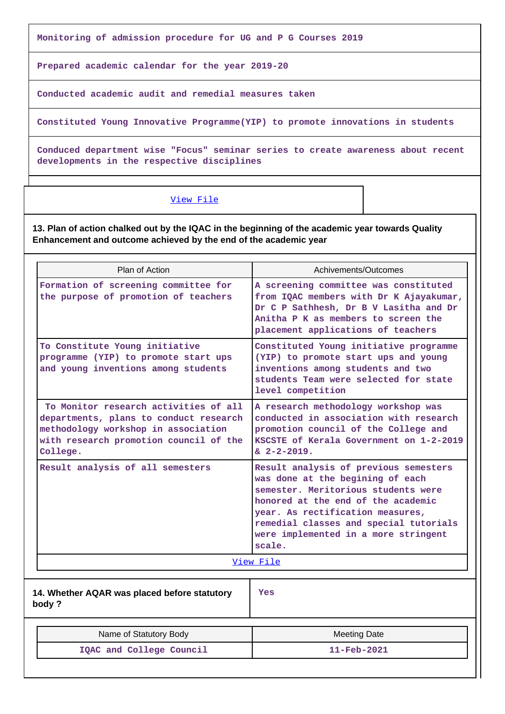**Monitoring of admission procedure for UG and P G Courses 2019**

**Prepared academic calendar for the year 2019-20**

**Conducted academic audit and remedial measures taken**

**Constituted Young Innovative Programme(YIP) to promote innovations in students**

**Conduced department wise "Focus" seminar series to create awareness about recent developments in the respective disciplines**

#### [View File](https://assessmentonline.naac.gov.in/public/Postacc/Contribution/9451_Contribution.xls)

**13. Plan of action chalked out by the IQAC in the beginning of the academic year towards Quality Enhancement and outcome achieved by the end of the academic year**

| Plan of Action                                                                                                                                                               | Achivements/Outcomes                                                                                                                                                                                                                                                                   |  |  |  |
|------------------------------------------------------------------------------------------------------------------------------------------------------------------------------|----------------------------------------------------------------------------------------------------------------------------------------------------------------------------------------------------------------------------------------------------------------------------------------|--|--|--|
| Formation of screening committee for<br>the purpose of promotion of teachers                                                                                                 | A screening committee was constituted<br>from IQAC members with Dr K Ajayakumar,<br>Dr C P Sathhesh, Dr B V Lasitha and Dr<br>Anitha P K as members to screen the<br>placement applications of teachers                                                                                |  |  |  |
| To Constitute Young initiative<br>programme (YIP) to promote start ups<br>and young inventions among students                                                                | Constituted Young initiative programme<br>(YIP) to promote start ups and young<br>inventions among students and two<br>students Team were selected for state<br>level competition                                                                                                      |  |  |  |
| To Monitor research activities of all<br>departments, plans to conduct research<br>methodology workshop in association<br>with research promotion council of the<br>College. | A research methodology workshop was<br>conducted in association with research<br>promotion council of the College and<br>KSCSTE of Kerala Government on 1-2-2019<br>$\& 2 - 2 - 2019.$                                                                                                 |  |  |  |
| Result analysis of all semesters                                                                                                                                             | Result analysis of previous semesters<br>was done at the begining of each<br>semester. Meritorious students were<br>honored at the end of the academic<br>year. As rectification measures,<br>remedial classes and special tutorials<br>were implemented in a more stringent<br>scale. |  |  |  |
|                                                                                                                                                                              | View File                                                                                                                                                                                                                                                                              |  |  |  |
| 14. Whether AQAR was placed before statutory<br>body?                                                                                                                        | Yes                                                                                                                                                                                                                                                                                    |  |  |  |
| Name of Statutory Body                                                                                                                                                       | <b>Meeting Date</b>                                                                                                                                                                                                                                                                    |  |  |  |
| IQAC and College Council                                                                                                                                                     | $11 - \text{Feb} - 2021$                                                                                                                                                                                                                                                               |  |  |  |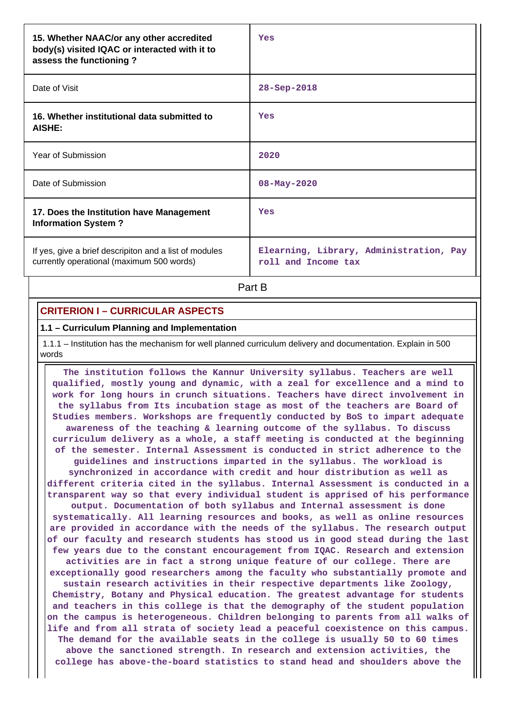| 15. Whether NAAC/or any other accredited<br>body(s) visited IQAC or interacted with it to<br>assess the functioning? | Yes                                                            |
|----------------------------------------------------------------------------------------------------------------------|----------------------------------------------------------------|
| Date of Visit                                                                                                        | $28 - Sep - 2018$                                              |
| 16. Whether institutional data submitted to<br><b>AISHE:</b>                                                         | Yes                                                            |
| Year of Submission                                                                                                   | 2020                                                           |
| Date of Submission                                                                                                   | $08 - May - 2020$                                              |
| 17. Does the Institution have Management<br><b>Information System?</b>                                               | Yes                                                            |
| If yes, give a brief descripiton and a list of modules<br>currently operational (maximum 500 words)                  | Elearning, Library, Administration, Pay<br>roll and Income tax |

**Part B** 

# **CRITERION I – CURRICULAR ASPECTS**

#### **1.1 – Curriculum Planning and Implementation**

 1.1.1 – Institution has the mechanism for well planned curriculum delivery and documentation. Explain in 500 words

 **The institution follows the Kannur University syllabus. Teachers are well qualified, mostly young and dynamic, with a zeal for excellence and a mind to work for long hours in crunch situations. Teachers have direct involvement in the syllabus from Its incubation stage as most of the teachers are Board of Studies members. Workshops are frequently conducted by BoS to impart adequate awareness of the teaching & learning outcome of the syllabus. To discuss curriculum delivery as a whole, a staff meeting is conducted at the beginning of the semester. Internal Assessment is conducted in strict adherence to the guidelines and instructions imparted in the syllabus. The workload is synchronized in accordance with credit and hour distribution as well as different criteria cited in the syllabus. Internal Assessment is conducted in a transparent way so that every individual student is apprised of his performance output. Documentation of both syllabus and Internal assessment is done systematically. All learning resources and books, as well as online resources are provided in accordance with the needs of the syllabus. The research output of our faculty and research students has stood us in good stead during the last few years due to the constant encouragement from IQAC. Research and extension activities are in fact a strong unique feature of our college. There are exceptionally good researchers among the faculty who substantially promote and sustain research activities in their respective departments like Zoology, Chemistry, Botany and Physical education. The greatest advantage for students and teachers in this college is that the demography of the student population on the campus is heterogeneous. Children belonging to parents from all walks of life and from all strata of society lead a peaceful coexistence on this campus. The demand for the available seats in the college is usually 50 to 60 times above the sanctioned strength. In research and extension activities, the college has above-the-board statistics to stand head and shoulders above the**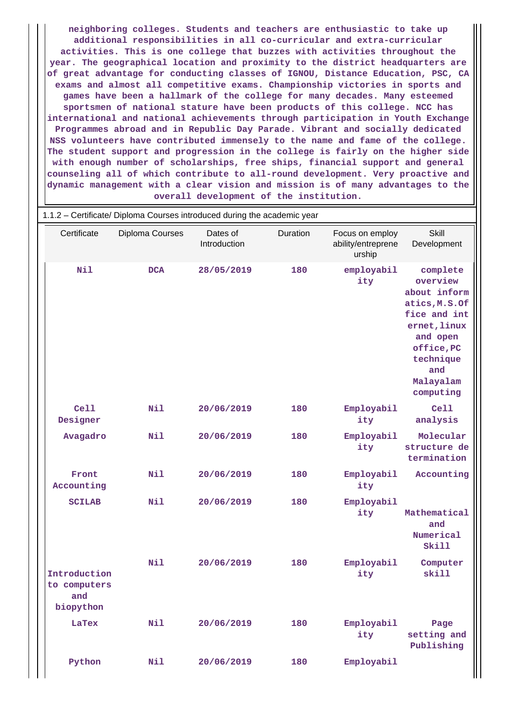**neighboring colleges. Students and teachers are enthusiastic to take up additional responsibilities in all co-curricular and extra-curricular activities. This is one college that buzzes with activities throughout the year. The geographical location and proximity to the district headquarters are of great advantage for conducting classes of IGNOU, Distance Education, PSC, CA exams and almost all competitive exams. Championship victories in sports and games have been a hallmark of the college for many decades. Many esteemed sportsmen of national stature have been products of this college. NCC has international and national achievements through participation in Youth Exchange Programmes abroad and in Republic Day Parade. Vibrant and socially dedicated NSS volunteers have contributed immensely to the name and fame of the college. The student support and progression in the college is fairly on the higher side with enough number of scholarships, free ships, financial support and general counseling all of which contribute to all-round development. Very proactive and dynamic management with a clear vision and mission is of many advantages to the overall development of the institution.**

|                                                  | 1.1.2 - Certificate/ Diploma Courses introduced during the academic year |                          |          |                                                 |                                                                                                                                                               |
|--------------------------------------------------|--------------------------------------------------------------------------|--------------------------|----------|-------------------------------------------------|---------------------------------------------------------------------------------------------------------------------------------------------------------------|
| Certificate                                      | <b>Diploma Courses</b>                                                   | Dates of<br>Introduction | Duration | Focus on employ<br>ability/entreprene<br>urship | <b>Skill</b><br>Development                                                                                                                                   |
| Nil                                              | <b>DCA</b>                                                               | 28/05/2019               | 180      | employabil<br>ity                               | complete<br>overview<br>about inform<br>atics, M.S.Of<br>fice and int<br>ernet, linux<br>and open<br>office, PC<br>technique<br>and<br>Malayalam<br>computing |
| Ce11<br>Designer                                 | Nil                                                                      | 20/06/2019               | 180      | Employabil<br>ity                               | Cell<br>analysis                                                                                                                                              |
| Avagadro                                         | Nil                                                                      | 20/06/2019               | 180      | Employabil<br>ity                               | Molecular<br>structure de<br>termination                                                                                                                      |
| Front<br>Accounting                              | Nil                                                                      | 20/06/2019               | 180      | Employabil<br>ity                               | Accounting                                                                                                                                                    |
| <b>SCILAB</b>                                    | Nil                                                                      | 20/06/2019               | 180      | Employabil<br>ity                               | Mathematical<br>and<br>Numerical<br><b>Skill</b>                                                                                                              |
| Introduction<br>to computers<br>and<br>biopython | Nil                                                                      | 20/06/2019               | 180      | Employabil<br>ity                               | Computer<br>skill                                                                                                                                             |
| LaTex                                            | Nil                                                                      | 20/06/2019               | 180      | Employabil<br>ity                               | Page<br>setting and<br>Publishing                                                                                                                             |
| Python                                           | Nil                                                                      | 20/06/2019               | 180      | Employabil                                      |                                                                                                                                                               |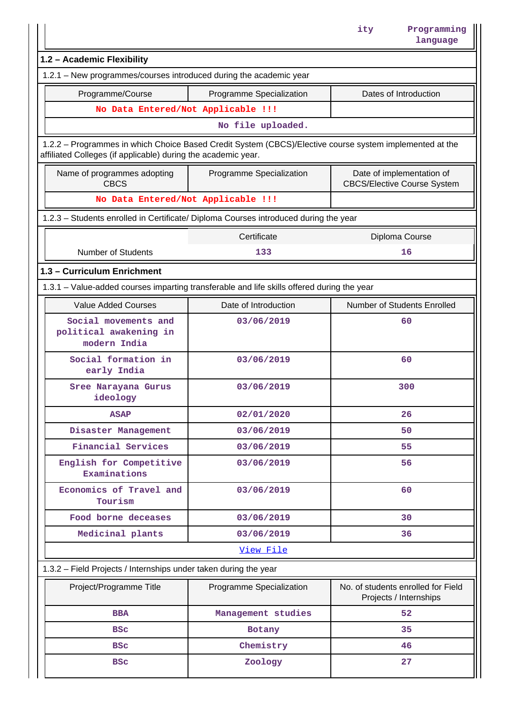|                                                                                                                                                                          |                          | Programming<br>ity<br>language                                  |
|--------------------------------------------------------------------------------------------------------------------------------------------------------------------------|--------------------------|-----------------------------------------------------------------|
| 1.2 - Academic Flexibility                                                                                                                                               |                          |                                                                 |
| 1.2.1 - New programmes/courses introduced during the academic year                                                                                                       |                          |                                                                 |
| Programme/Course                                                                                                                                                         | Programme Specialization | Dates of Introduction                                           |
| No Data Entered/Not Applicable !!!                                                                                                                                       |                          |                                                                 |
|                                                                                                                                                                          | No file uploaded.        |                                                                 |
| 1.2.2 - Programmes in which Choice Based Credit System (CBCS)/Elective course system implemented at the<br>affiliated Colleges (if applicable) during the academic year. |                          |                                                                 |
| Name of programmes adopting<br><b>CBCS</b>                                                                                                                               | Programme Specialization | Date of implementation of<br><b>CBCS/Elective Course System</b> |
| No Data Entered/Not Applicable !!!                                                                                                                                       |                          |                                                                 |
| 1.2.3 - Students enrolled in Certificate/ Diploma Courses introduced during the year                                                                                     |                          |                                                                 |
|                                                                                                                                                                          | Certificate              | Diploma Course                                                  |
| <b>Number of Students</b>                                                                                                                                                | 133                      | 16                                                              |
| 1.3 - Curriculum Enrichment                                                                                                                                              |                          |                                                                 |
| 1.3.1 - Value-added courses imparting transferable and life skills offered during the year                                                                               |                          |                                                                 |
| <b>Value Added Courses</b>                                                                                                                                               | Date of Introduction     | Number of Students Enrolled                                     |
| Social movements and<br>political awakening in<br>modern India                                                                                                           | 03/06/2019               | 60                                                              |
| Social formation in<br>early India                                                                                                                                       | 03/06/2019               | 60                                                              |
| Sree Narayana Gurus<br>ideology                                                                                                                                          | 03/06/2019               | 300                                                             |
| <b>ASAP</b>                                                                                                                                                              | 02/01/2020               | 26                                                              |
| Disaster Management                                                                                                                                                      | 03/06/2019               | 50                                                              |
| <b>Financial Services</b>                                                                                                                                                | 03/06/2019               | 55                                                              |
| English for Competitive<br>Examinations                                                                                                                                  | 03/06/2019               | 56                                                              |
| Economics of Travel and<br>Tourism                                                                                                                                       | 03/06/2019               | 60                                                              |
| Food borne deceases                                                                                                                                                      | 03/06/2019               | 30                                                              |
| Medicinal plants                                                                                                                                                         | 03/06/2019               | 36                                                              |
|                                                                                                                                                                          | View File                |                                                                 |
| 1.3.2 - Field Projects / Internships under taken during the year                                                                                                         |                          |                                                                 |
| Project/Programme Title                                                                                                                                                  | Programme Specialization | No. of students enrolled for Field<br>Projects / Internships    |
| <b>BBA</b>                                                                                                                                                               | Management studies       | 52                                                              |
| <b>BSC</b>                                                                                                                                                               | Botany                   | 35                                                              |
| <b>BSC</b>                                                                                                                                                               | Chemistry                | 46                                                              |
| <b>BSC</b>                                                                                                                                                               | Zoology                  | 27                                                              |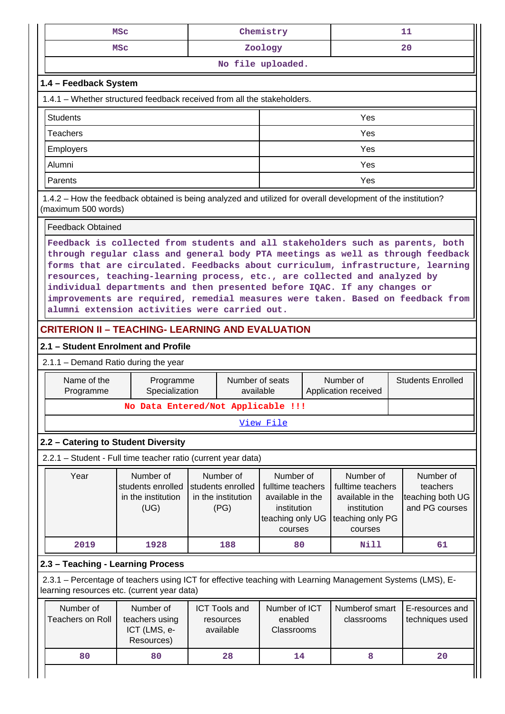|                                                                                                                                                                                                                                                                                                                                                                                                                                                                                                                                                   | <b>MSC</b>                                                                                                                                                |                                                              | Chemistry                                                                                        |                   |                                                                                                  |                          | 11                                                          |
|---------------------------------------------------------------------------------------------------------------------------------------------------------------------------------------------------------------------------------------------------------------------------------------------------------------------------------------------------------------------------------------------------------------------------------------------------------------------------------------------------------------------------------------------------|-----------------------------------------------------------------------------------------------------------------------------------------------------------|--------------------------------------------------------------|--------------------------------------------------------------------------------------------------|-------------------|--------------------------------------------------------------------------------------------------|--------------------------|-------------------------------------------------------------|
|                                                                                                                                                                                                                                                                                                                                                                                                                                                                                                                                                   | MSC                                                                                                                                                       |                                                              | Zoology                                                                                          |                   |                                                                                                  |                          | 20                                                          |
|                                                                                                                                                                                                                                                                                                                                                                                                                                                                                                                                                   |                                                                                                                                                           |                                                              |                                                                                                  | No file uploaded. |                                                                                                  |                          |                                                             |
| 1.4 - Feedback System                                                                                                                                                                                                                                                                                                                                                                                                                                                                                                                             |                                                                                                                                                           |                                                              |                                                                                                  |                   |                                                                                                  |                          |                                                             |
| 1.4.1 – Whether structured feedback received from all the stakeholders.                                                                                                                                                                                                                                                                                                                                                                                                                                                                           |                                                                                                                                                           |                                                              |                                                                                                  |                   |                                                                                                  |                          |                                                             |
| <b>Students</b>                                                                                                                                                                                                                                                                                                                                                                                                                                                                                                                                   |                                                                                                                                                           |                                                              |                                                                                                  |                   | Yes                                                                                              |                          |                                                             |
| <b>Teachers</b>                                                                                                                                                                                                                                                                                                                                                                                                                                                                                                                                   |                                                                                                                                                           |                                                              |                                                                                                  |                   | Yes                                                                                              |                          |                                                             |
| <b>Employers</b>                                                                                                                                                                                                                                                                                                                                                                                                                                                                                                                                  |                                                                                                                                                           |                                                              |                                                                                                  | Yes               |                                                                                                  |                          |                                                             |
| Alumni                                                                                                                                                                                                                                                                                                                                                                                                                                                                                                                                            |                                                                                                                                                           |                                                              |                                                                                                  |                   | Yes                                                                                              |                          |                                                             |
| Yes<br>Parents                                                                                                                                                                                                                                                                                                                                                                                                                                                                                                                                    |                                                                                                                                                           |                                                              |                                                                                                  |                   |                                                                                                  |                          |                                                             |
| 1.4.2 – How the feedback obtained is being analyzed and utilized for overall development of the institution?<br>(maximum 500 words)                                                                                                                                                                                                                                                                                                                                                                                                               |                                                                                                                                                           |                                                              |                                                                                                  |                   |                                                                                                  |                          |                                                             |
| <b>Feedback Obtained</b>                                                                                                                                                                                                                                                                                                                                                                                                                                                                                                                          |                                                                                                                                                           |                                                              |                                                                                                  |                   |                                                                                                  |                          |                                                             |
| Feedback is collected from students and all stakeholders such as parents, both<br>through regular class and general body PTA meetings as well as through feedback<br>forms that are circulated. Feedbacks about curriculum, infrastructure, learning<br>resources, teaching-learning process, etc., are collected and analyzed by<br>individual departments and then presented before IQAC. If any changes or<br>improvements are required, remedial measures were taken. Based on feedback from<br>alumni extension activities were carried out. |                                                                                                                                                           |                                                              |                                                                                                  |                   |                                                                                                  |                          |                                                             |
| <b>CRITERION II - TEACHING- LEARNING AND EVALUATION</b>                                                                                                                                                                                                                                                                                                                                                                                                                                                                                           |                                                                                                                                                           |                                                              |                                                                                                  |                   |                                                                                                  |                          |                                                             |
|                                                                                                                                                                                                                                                                                                                                                                                                                                                                                                                                                   | 2.1 - Student Enrolment and Profile                                                                                                                       |                                                              |                                                                                                  |                   |                                                                                                  |                          |                                                             |
| 2.1.1 - Demand Ratio during the year                                                                                                                                                                                                                                                                                                                                                                                                                                                                                                              |                                                                                                                                                           |                                                              |                                                                                                  |                   |                                                                                                  |                          |                                                             |
| Name of the<br>Programme                                                                                                                                                                                                                                                                                                                                                                                                                                                                                                                          | Programme<br>Specialization                                                                                                                               | Number of seats<br>available                                 | Number of<br>Application received                                                                |                   |                                                                                                  | <b>Students Enrolled</b> |                                                             |
|                                                                                                                                                                                                                                                                                                                                                                                                                                                                                                                                                   |                                                                                                                                                           | No Data Entered/Not Applicable !!!                           |                                                                                                  |                   |                                                                                                  |                          |                                                             |
| View File                                                                                                                                                                                                                                                                                                                                                                                                                                                                                                                                         |                                                                                                                                                           |                                                              |                                                                                                  |                   |                                                                                                  |                          |                                                             |
| 2.2 - Catering to Student Diversity                                                                                                                                                                                                                                                                                                                                                                                                                                                                                                               |                                                                                                                                                           |                                                              |                                                                                                  |                   |                                                                                                  |                          |                                                             |
|                                                                                                                                                                                                                                                                                                                                                                                                                                                                                                                                                   | 2.2.1 - Student - Full time teacher ratio (current year data)                                                                                             |                                                              |                                                                                                  |                   |                                                                                                  |                          |                                                             |
| Year                                                                                                                                                                                                                                                                                                                                                                                                                                                                                                                                              | Number of<br>students enrolled<br>in the institution<br>(UG)                                                                                              | Number of<br>students enrolled<br>in the institution<br>(PG) | Number of<br>fulltime teachers<br>available in the<br>institution<br>teaching only UG<br>courses |                   | Number of<br>fulltime teachers<br>available in the<br>institution<br>teaching only PG<br>courses |                          | Number of<br>teachers<br>teaching both UG<br>and PG courses |
| 2019                                                                                                                                                                                                                                                                                                                                                                                                                                                                                                                                              | 1928                                                                                                                                                      | 188                                                          | 80                                                                                               |                   | Nill                                                                                             |                          | 61                                                          |
| 2.3 - Teaching - Learning Process                                                                                                                                                                                                                                                                                                                                                                                                                                                                                                                 |                                                                                                                                                           |                                                              |                                                                                                  |                   |                                                                                                  |                          |                                                             |
|                                                                                                                                                                                                                                                                                                                                                                                                                                                                                                                                                   | 2.3.1 - Percentage of teachers using ICT for effective teaching with Learning Management Systems (LMS), E-<br>learning resources etc. (current year data) |                                                              |                                                                                                  |                   |                                                                                                  |                          |                                                             |
| Number of<br><b>Teachers on Roll</b>                                                                                                                                                                                                                                                                                                                                                                                                                                                                                                              | Number of<br>teachers using<br>ICT (LMS, e-<br>Resources)                                                                                                 | <b>ICT Tools and</b><br>resources<br>available               | Number of ICT<br>enabled<br>Classrooms                                                           |                   | Numberof smart<br>classrooms                                                                     |                          | E-resources and<br>techniques used                          |
| 80                                                                                                                                                                                                                                                                                                                                                                                                                                                                                                                                                | 80                                                                                                                                                        | 28                                                           | 14                                                                                               |                   | 8                                                                                                |                          | 20                                                          |
|                                                                                                                                                                                                                                                                                                                                                                                                                                                                                                                                                   |                                                                                                                                                           |                                                              |                                                                                                  |                   |                                                                                                  |                          |                                                             |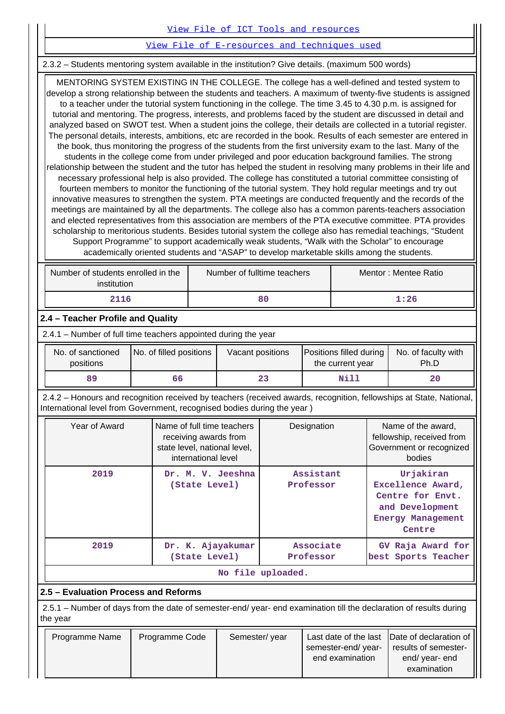| View File of ICT Tools and resources |  |
|--------------------------------------|--|
|--------------------------------------|--|

[View File of E-resources and techniques used](https://assessmentonline.naac.gov.in/public/Postacc/e_resource/9451_e_resource_1616219324.xls)

2.3.2 – Students mentoring system available in the institution? Give details. (maximum 500 words)

 MENTORING SYSTEM EXISTING IN THE COLLEGE. The college has a well-defined and tested system to develop a strong relationship between the students and teachers. A maximum of twenty-five students is assigned to a teacher under the tutorial system functioning in the college. The time 3.45 to 4.30 p.m. is assigned for tutorial and mentoring. The progress, interests, and problems faced by the student are discussed in detail and analyzed based on SWOT test. When a student joins the college, their details are collected in a tutorial register. The personal details, interests, ambitions, etc are recorded in the book. Results of each semester are entered in the book, thus monitoring the progress of the students from the first university exam to the last. Many of the students in the college come from under privileged and poor education background families. The strong relationship between the student and the tutor has helped the student in resolving many problems in their life and necessary professional help is also provided. The college has constituted a tutorial committee consisting of fourteen members to monitor the functioning of the tutorial system. They hold regular meetings and try out innovative measures to strengthen the system. PTA meetings are conducted frequently and the records of the meetings are maintained by all the departments. The college also has a common parents-teachers association and elected representatives from this association are members of the PTA executive committee. PTA provides scholarship to meritorious students. Besides tutorial system the college also has remedial teachings, "Student Support Programme" to support academically weak students, "Walk with the Scholar" to encourage academically oriented students and "ASAP" to develop marketable skills among the students.

| Number of students enrolled in the<br>institution | Number of fulltime teachers | Mentor: Mentee Ratio |
|---------------------------------------------------|-----------------------------|----------------------|
| 2116                                              | 80                          | 1:26                 |

## **2.4 – Teacher Profile and Quality**

2.4.1 – Number of full time teachers appointed during the year

| No. of sanctioned<br>positions | No. of filled positions | Vacant positions | <b>Positions filled during</b><br>the current year | No. of faculty with<br>Ph.D |
|--------------------------------|-------------------------|------------------|----------------------------------------------------|-----------------------------|
| 89                             | 66                      | 23               | Nill                                               | 20                          |

 2.4.2 – Honours and recognition received by teachers (received awards, recognition, fellowships at State, National, International level from Government, recognised bodies during the year )

| Year of Award | Name of full time teachers<br>receiving awards from<br>state level, national level,<br>international level | Designation            | Name of the award,<br>fellowship, received from<br>Government or recognized<br>bodies                       |
|---------------|------------------------------------------------------------------------------------------------------------|------------------------|-------------------------------------------------------------------------------------------------------------|
| 2019          | Dr. M. V. Jeeshna<br>(State Level)                                                                         | Assistant<br>Professor | Urjakiran<br>Excellence Award,<br>Centre for Envt.<br>and Development<br><b>Energy Management</b><br>Centre |
| 2019          | Dr. K. Ajayakumar<br>(State Level)                                                                         | Associate<br>Professor | GV Raja Award for<br>best Sports Teacher                                                                    |
|               |                                                                                                            | No file uploaded.      |                                                                                                             |

## **2.5 – Evaluation Process and Reforms**

 2.5.1 – Number of days from the date of semester-end/ year- end examination till the declaration of results during the year

| Programme Name | Programme Code | Semester/year |                    | Last date of the last Date of declaration of |
|----------------|----------------|---------------|--------------------|----------------------------------------------|
|                |                |               | semester-end/year- | results of semester-                         |
|                |                |               | end examination    | end/ year- end<br>examination                |
|                |                |               |                    |                                              |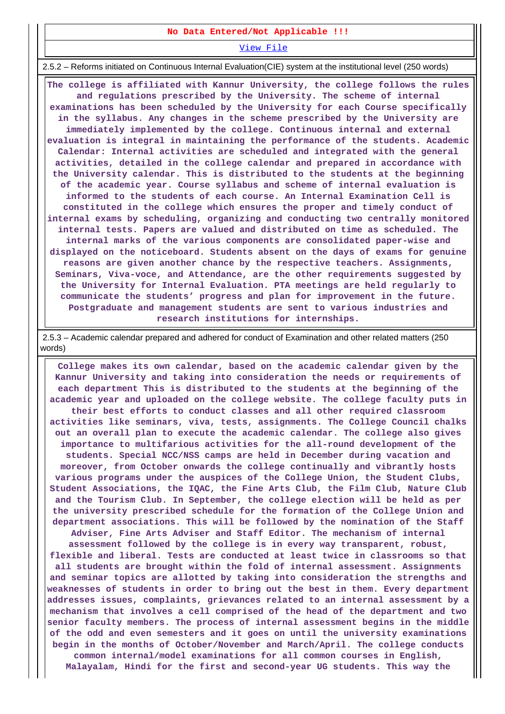#### **No Data Entered/Not Applicable !!!**

[View File](https://assessmentonline.naac.gov.in/public/Postacc/Evaluation/9451_Evaluation_1616223579.xls)

2.5.2 – Reforms initiated on Continuous Internal Evaluation(CIE) system at the institutional level (250 words)

 **The college is affiliated with Kannur University, the college follows the rules and regulations prescribed by the University. The scheme of internal examinations has been scheduled by the University for each Course specifically in the syllabus. Any changes in the scheme prescribed by the University are immediately implemented by the college. Continuous internal and external evaluation is integral in maintaining the performance of the students. Academic Calendar: Internal activities are scheduled and integrated with the general activities, detailed in the college calendar and prepared in accordance with the University calendar. This is distributed to the students at the beginning of the academic year. Course syllabus and scheme of internal evaluation is informed to the students of each course. An Internal Examination Cell is constituted in the college which ensures the proper and timely conduct of internal exams by scheduling, organizing and conducting two centrally monitored internal tests. Papers are valued and distributed on time as scheduled. The internal marks of the various components are consolidated paper-wise and displayed on the noticeboard. Students absent on the days of exams for genuine reasons are given another chance by the respective teachers. Assignments, Seminars, Viva-voce, and Attendance, are the other requirements suggested by the University for Internal Evaluation. PTA meetings are held regularly to communicate the students' progress and plan for improvement in the future. Postgraduate and management students are sent to various industries and research institutions for internships.**

 2.5.3 – Academic calendar prepared and adhered for conduct of Examination and other related matters (250 words)

 **College makes its own calendar, based on the academic calendar given by the Kannur University and taking into consideration the needs or requirements of each department This is distributed to the students at the beginning of the academic year and uploaded on the college website. The college faculty puts in their best efforts to conduct classes and all other required classroom activities like seminars, viva, tests, assignments. The College Council chalks out an overall plan to execute the academic calendar. The college also gives importance to multifarious activities for the all-round development of the students. Special NCC/NSS camps are held in December during vacation and moreover, from October onwards the college continually and vibrantly hosts various programs under the auspices of the College Union, the Student Clubs, Student Associations, the IQAC, the Fine Arts Club, the Film Club, Nature Club and the Tourism Club. In September, the college election will be held as per the university prescribed schedule for the formation of the College Union and department associations. This will be followed by the nomination of the Staff Adviser, Fine Arts Adviser and Staff Editor. The mechanism of internal**

**assessment followed by the college is in every way transparent, robust, flexible and liberal. Tests are conducted at least twice in classrooms so that all students are brought within the fold of internal assessment. Assignments and seminar topics are allotted by taking into consideration the strengths and weaknesses of students in order to bring out the best in them. Every department addresses issues, complaints, grievances related to an internal assessment by a mechanism that involves a cell comprised of the head of the department and two senior faculty members. The process of internal assessment begins in the middle of the odd and even semesters and it goes on until the university examinations begin in the months of October/November and March/April. The college conducts common internal/model examinations for all common courses in English,**

**Malayalam, Hindi for the first and second-year UG students. This way the**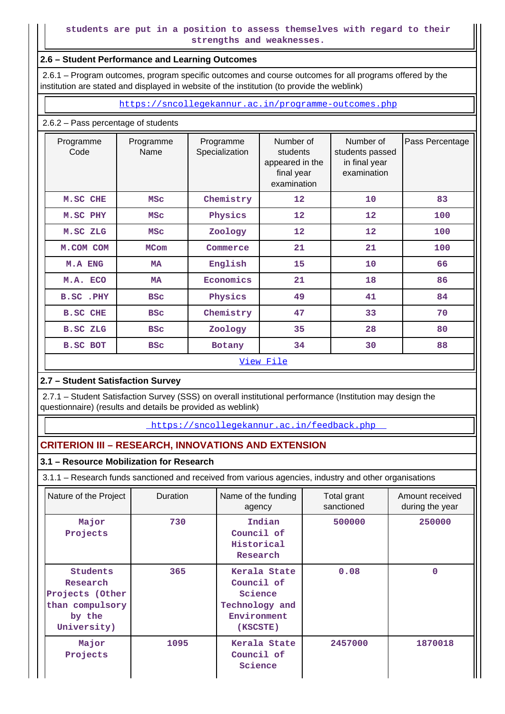## **2.6 – Student Performance and Learning Outcomes**

 2.6.1 – Program outcomes, program specific outcomes and course outcomes for all programs offered by the institution are stated and displayed in website of the institution (to provide the weblink)

<https://sncollegekannur.ac.in/programme-outcomes.php>

## 2.6.2 – Pass percentage of students

| Programme<br>Code | Programme<br>Name | Programme<br>Specialization | Number of<br>students<br>appeared in the<br>final year<br>examination | Number of<br>students passed<br>in final year<br>examination | Pass Percentage |
|-------------------|-------------------|-----------------------------|-----------------------------------------------------------------------|--------------------------------------------------------------|-----------------|
| M.SC CHE          | <b>MSC</b>        | Chemistry                   | 12                                                                    | 10                                                           | 83              |
| M.SC PHY          | <b>MSC</b>        | Physics                     | $12 \overline{ }$                                                     | $12 \overline{ }$                                            | 100             |
| M.SC ZLG          | <b>MSC</b>        | Zoology                     | 12                                                                    | $12 \overline{ }$                                            | 100             |
| M.COM COM         | <b>MCom</b>       | Commerce                    | 21                                                                    | 21                                                           | 100             |
| <b>M.A ENG</b>    | <b>MA</b>         | English                     | 15                                                                    | 10                                                           | 66              |
| M.A. ECO          | <b>MA</b>         | Economics                   | 21                                                                    | 18                                                           | 86              |
| B.SC.PHY          | <b>BSC</b>        | Physics                     | 49                                                                    | 41                                                           | 84              |
| <b>B.SC CHE</b>   | <b>BSC</b>        | Chemistry                   | 47                                                                    | 33                                                           | 70              |
| <b>B.SC ZLG</b>   | <b>BSC</b>        | Zoology                     | 35                                                                    | 28                                                           | 80              |
| <b>B.SC BOT</b>   | <b>BSC</b>        | Botany                      | 34                                                                    | 30                                                           | 88              |
|                   |                   |                             | View File                                                             |                                                              |                 |

# **2.7 – Student Satisfaction Survey**

 2.7.1 – Student Satisfaction Survey (SSS) on overall institutional performance (Institution may design the questionnaire) (results and details be provided as weblink)

<https://sncollegekannur.ac.in/feedback.php>

# **CRITERION III – RESEARCH, INNOVATIONS AND EXTENSION**

## **3.1 – Resource Mobilization for Research**

3.1.1 – Research funds sanctioned and received from various agencies, industry and other organisations

| Nature of the Project                                                               | <b>Duration</b> | Name of the funding<br>agency                                                      | Total grant<br>sanctioned | Amount received<br>during the year |
|-------------------------------------------------------------------------------------|-----------------|------------------------------------------------------------------------------------|---------------------------|------------------------------------|
| Major<br>Projects                                                                   | 730             | Indian<br>Council of<br>Historical<br>Research                                     | 500000                    | 250000                             |
| Students<br>Research<br>Projects (Other<br>than compulsory<br>by the<br>University) | 365             | Kerala State<br>Council of<br>Science<br>Technology and<br>Environment<br>(KSCSTE) | 0.08                      | $\Omega$                           |
| Major<br>Projects                                                                   | 1095            | Kerala State<br>Council of<br>Science                                              | 2457000                   | 1870018                            |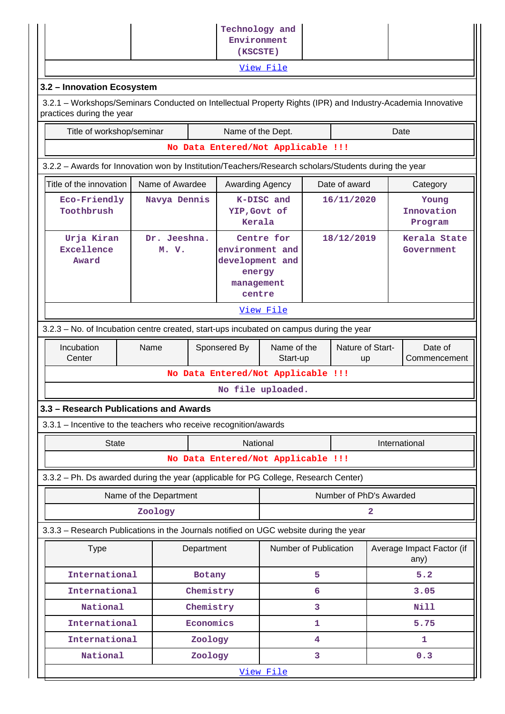|                                                                                                                                          |                        |            | Technology and                                                       |                       |                        |                         |                         |                                   |
|------------------------------------------------------------------------------------------------------------------------------------------|------------------------|------------|----------------------------------------------------------------------|-----------------------|------------------------|-------------------------|-------------------------|-----------------------------------|
|                                                                                                                                          |                        |            | Environment<br>(KSCSTE)                                              |                       |                        |                         |                         |                                   |
|                                                                                                                                          |                        |            |                                                                      | View File             |                        |                         |                         |                                   |
| 3.2 - Innovation Ecosystem                                                                                                               |                        |            |                                                                      |                       |                        |                         |                         |                                   |
| 3.2.1 – Workshops/Seminars Conducted on Intellectual Property Rights (IPR) and Industry-Academia Innovative<br>practices during the year |                        |            |                                                                      |                       |                        |                         |                         |                                   |
| Title of workshop/seminar                                                                                                                |                        |            | Name of the Dept.                                                    |                       |                        |                         |                         | Date                              |
|                                                                                                                                          |                        |            | No Data Entered/Not Applicable !!!                                   |                       |                        |                         |                         |                                   |
| 3.2.2 - Awards for Innovation won by Institution/Teachers/Research scholars/Students during the year                                     |                        |            |                                                                      |                       |                        |                         |                         |                                   |
| Title of the innovation<br>Name of Awardee<br>Date of award<br><b>Awarding Agency</b><br>Category                                        |                        |            |                                                                      |                       |                        |                         |                         |                                   |
| Eco-Friendly<br>Toothbrush                                                                                                               | Navya Dennis           |            | YIP, Govt of<br>Kerala                                               | K-DISC and            |                        | 16/11/2020              |                         | Young<br>Innovation<br>Program    |
| Urja Kiran<br>Excellence<br>Award                                                                                                        | Dr. Jeeshna.<br>M. V.  |            | environment and<br>development and<br>energy<br>management<br>centre | Centre for            |                        | 18/12/2019              |                         | Kerala State<br>Government        |
|                                                                                                                                          |                        |            |                                                                      | View File             |                        |                         |                         |                                   |
| 3.2.3 – No. of Incubation centre created, start-ups incubated on campus during the year                                                  |                        |            |                                                                      |                       |                        |                         |                         |                                   |
| Incubation<br>Center                                                                                                                     | Name                   |            | Sponsered By<br>Name of the<br>Start-up                              |                       | Nature of Start-<br>up |                         | Date of<br>Commencement |                                   |
|                                                                                                                                          |                        |            | No Data Entered/Not Applicable !!!                                   |                       |                        |                         |                         |                                   |
|                                                                                                                                          |                        |            |                                                                      | No file uploaded.     |                        |                         |                         |                                   |
| 3.3 - Research Publications and Awards                                                                                                   |                        |            |                                                                      |                       |                        |                         |                         |                                   |
| 3.3.1 - Incentive to the teachers who receive recognition/awards                                                                         |                        |            |                                                                      |                       |                        |                         |                         |                                   |
| <b>State</b>                                                                                                                             |                        |            | National                                                             |                       |                        |                         |                         | International                     |
|                                                                                                                                          |                        |            | No Data Entered/Not Applicable !!!                                   |                       |                        |                         |                         |                                   |
| 3.3.2 - Ph. Ds awarded during the year (applicable for PG College, Research Center)                                                      |                        |            |                                                                      |                       |                        |                         |                         |                                   |
|                                                                                                                                          | Name of the Department |            |                                                                      |                       |                        | Number of PhD's Awarded |                         |                                   |
|                                                                                                                                          | Zoology                |            |                                                                      |                       |                        |                         | 2                       |                                   |
| 3.3.3 - Research Publications in the Journals notified on UGC website during the year                                                    |                        |            |                                                                      |                       |                        |                         |                         |                                   |
| <b>Type</b>                                                                                                                              |                        | Department |                                                                      | Number of Publication |                        |                         |                         | Average Impact Factor (if<br>any) |
| International                                                                                                                            |                        | Botany     |                                                                      |                       | 5                      |                         |                         | 5.2                               |
| International                                                                                                                            |                        | Chemistry  |                                                                      |                       | 6                      |                         |                         | 3.05                              |
| National                                                                                                                                 |                        | Chemistry  |                                                                      |                       | 3                      |                         |                         | <b>Nill</b>                       |
| International                                                                                                                            |                        | Economics  |                                                                      |                       | 1                      |                         |                         | 5.75                              |
| International                                                                                                                            |                        | Zoology    |                                                                      |                       | 4                      |                         |                         | 1                                 |
| National                                                                                                                                 |                        | Zoology    |                                                                      | View File             | 3                      |                         |                         | 0.3                               |
|                                                                                                                                          |                        |            |                                                                      |                       |                        |                         |                         |                                   |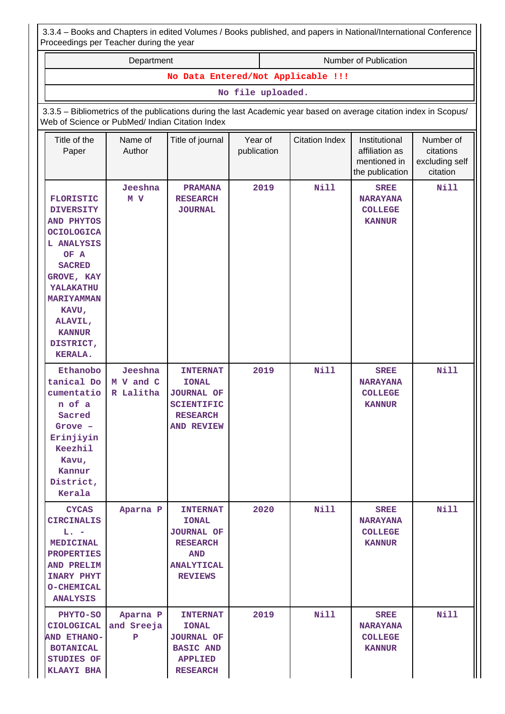| 3.3.4 – Books and Chapters in edited Volumes / Books published, and papers in National/International Conference |  |  |
|-----------------------------------------------------------------------------------------------------------------|--|--|
| Proceedings per Teacher during the year                                                                         |  |  |

| Department                                                                                                                                                                                                                                |                                                                                                                                                                       |                                                                                                                              |                        |      | Number of Publication |                                                                    |                                                      |  |  |  |
|-------------------------------------------------------------------------------------------------------------------------------------------------------------------------------------------------------------------------------------------|-----------------------------------------------------------------------------------------------------------------------------------------------------------------------|------------------------------------------------------------------------------------------------------------------------------|------------------------|------|-----------------------|--------------------------------------------------------------------|------------------------------------------------------|--|--|--|
|                                                                                                                                                                                                                                           |                                                                                                                                                                       | No Data Entered/Not Applicable !!!                                                                                           | No file uploaded.      |      |                       |                                                                    |                                                      |  |  |  |
|                                                                                                                                                                                                                                           |                                                                                                                                                                       |                                                                                                                              |                        |      |                       |                                                                    |                                                      |  |  |  |
|                                                                                                                                                                                                                                           | 3.3.5 - Bibliometrics of the publications during the last Academic year based on average citation index in Scopus/<br>Web of Science or PubMed/ Indian Citation Index |                                                                                                                              |                        |      |                       |                                                                    |                                                      |  |  |  |
| Title of the<br>Paper                                                                                                                                                                                                                     | Name of<br>Author                                                                                                                                                     | Title of journal                                                                                                             | Year of<br>publication |      | <b>Citation Index</b> | Institutional<br>affiliation as<br>mentioned in<br>the publication | Number of<br>citations<br>excluding self<br>citation |  |  |  |
| <b>FLORISTIC</b><br><b>DIVERSITY</b><br><b>AND PHYTOS</b><br><b>OCIOLOGICA</b><br>L ANALYSIS<br>OF A<br><b>SACRED</b><br>GROVE, KAY<br><b>YALAKATHU</b><br><b>MARIYAMMAN</b><br>KAVU,<br>ALAVIL,<br><b>KANNUR</b><br>DISTRICT,<br>KERALA. | Jeeshna<br>M V                                                                                                                                                        | <b>PRAMANA</b><br><b>RESEARCH</b><br><b>JOURNAL</b>                                                                          |                        | 2019 | <b>Nill</b>           | <b>SREE</b><br><b>NARAYANA</b><br><b>COLLEGE</b><br><b>KANNUR</b>  | Nill                                                 |  |  |  |
| Ethanobo<br>tanical Do<br>cumentatio<br>n of a<br>Sacred<br>Grove -<br>Erinjiyin<br>Keezhil<br>Kavu,<br>Kannur<br>District,<br>Kerala                                                                                                     | Jeeshna<br>M V and C<br>R Lalitha                                                                                                                                     | <b>INTERNAT</b><br><b>IONAL</b><br><b>JOURNAL OF</b><br><b>SCIENTIFIC</b><br><b>RESEARCH</b><br><b>AND REVIEW</b>            |                        | 2019 | Nill                  | <b>SREE</b><br><b>NARAYANA</b><br><b>COLLEGE</b><br><b>KANNUR</b>  | Nill                                                 |  |  |  |
| <b>CYCAS</b><br><b>CIRCINALIS</b><br>$\mathbf{L}_{\bullet}$ $=$<br><b>MEDICINAL</b><br><b>PROPERTIES</b><br>AND PRELIM<br><b>INARY PHYT</b><br><b>O-CHEMICAL</b><br><b>ANALYSIS</b>                                                       | Aparna P                                                                                                                                                              | <b>INTERNAT</b><br><b>IONAL</b><br><b>JOURNAL OF</b><br><b>RESEARCH</b><br><b>AND</b><br><b>ANALYTICAL</b><br><b>REVIEWS</b> |                        | 2020 | <b>Nill</b>           | <b>SREE</b><br><b>NARAYANA</b><br><b>COLLEGE</b><br><b>KANNUR</b>  | Nill                                                 |  |  |  |
| <b>PHYTO-SO</b><br><b>CIOLOGICAL</b><br><b>AND ETHANO-</b><br><b>BOTANICAL</b><br>STUDIES OF<br>KLAAYI BHA                                                                                                                                | Aparna P<br>and Sreeja<br>P                                                                                                                                           | <b>INTERNAT</b><br><b>IONAL</b><br><b>JOURNAL OF</b><br><b>BASIC AND</b><br><b>APPLIED</b><br><b>RESEARCH</b>                |                        | 2019 | <b>Nill</b>           | <b>SREE</b><br><b>NARAYANA</b><br><b>COLLEGE</b><br><b>KANNUR</b>  | Nill                                                 |  |  |  |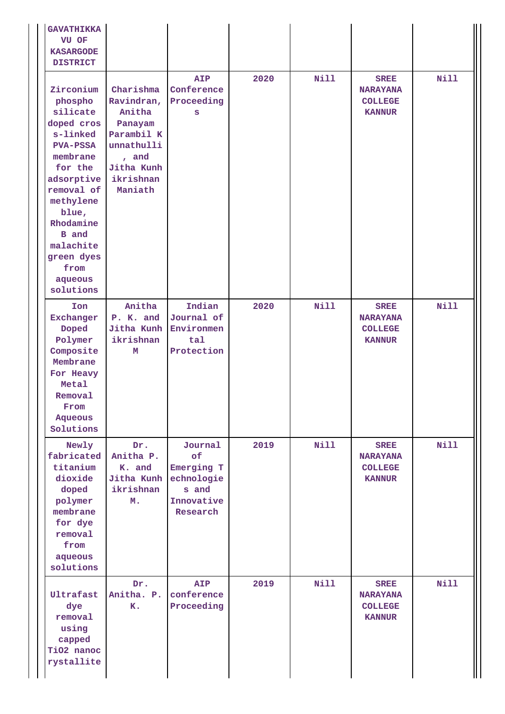| <b>GAVATHIKKA</b><br>VU OF<br><b>KASARGODE</b><br><b>DISTRICT</b>                                                                                                                                                                              |                                                                                                                         |                                                                              |      |             |                                                                   |             |
|------------------------------------------------------------------------------------------------------------------------------------------------------------------------------------------------------------------------------------------------|-------------------------------------------------------------------------------------------------------------------------|------------------------------------------------------------------------------|------|-------------|-------------------------------------------------------------------|-------------|
| Zirconium<br>phospho<br>silicate<br>doped cros<br>s-linked<br><b>PVA-PSSA</b><br>membrane<br>for the<br>adsorptive<br>removal of<br>methylene<br>blue,<br>Rhodamine<br><b>B</b> and<br>malachite<br>green dyes<br>from<br>aqueous<br>solutions | Charishma<br>Ravindran,<br>Anitha<br>Panayam<br>Parambil K<br>unnathulli<br>, and<br>Jitha Kunh<br>ikrishnan<br>Maniath | <b>AIP</b><br>Conference<br>Proceeding<br>S                                  | 2020 | <b>Nill</b> | <b>SREE</b><br><b>NARAYANA</b><br><b>COLLEGE</b><br><b>KANNUR</b> | <b>Nill</b> |
| Ion<br>Exchanger<br>Doped<br>Polymer<br>Composite<br>Membrane<br>For Heavy<br>Metal<br>Removal<br>From<br>Aqueous<br>Solutions                                                                                                                 | Anitha<br>P. K. and<br>Jitha Kunh<br>ikrishnan<br>M                                                                     | Indian<br>Journal of<br>Environmen<br>tal<br>Protection                      | 2020 | <b>Nill</b> | <b>SREE</b><br><b>NARAYANA</b><br><b>COLLEGE</b><br><b>KANNUR</b> | Nill        |
| Newly<br>fabricated<br>titanium<br>dioxide<br>doped<br>polymer<br>membrane<br>for dye<br>removal<br>from<br>aqueous<br>solutions                                                                                                               | Dr.<br>Anitha P.<br>K. and<br>Jitha Kunh<br>ikrishnan<br>M.                                                             | Journal<br>of<br>Emerging T<br>echnologie<br>s and<br>Innovative<br>Research | 2019 | <b>Nill</b> | <b>SREE</b><br><b>NARAYANA</b><br><b>COLLEGE</b><br><b>KANNUR</b> | <b>Nill</b> |
| Ultrafast<br>dye<br>removal<br>using<br>capped<br>TiO2 nanoc<br>rystallite                                                                                                                                                                     | Dr.<br>Anitha. P.<br>K.                                                                                                 | <b>AIP</b><br>conference<br>Proceeding                                       | 2019 | <b>Nill</b> | <b>SREE</b><br><b>NARAYANA</b><br><b>COLLEGE</b><br><b>KANNUR</b> | <b>Nill</b> |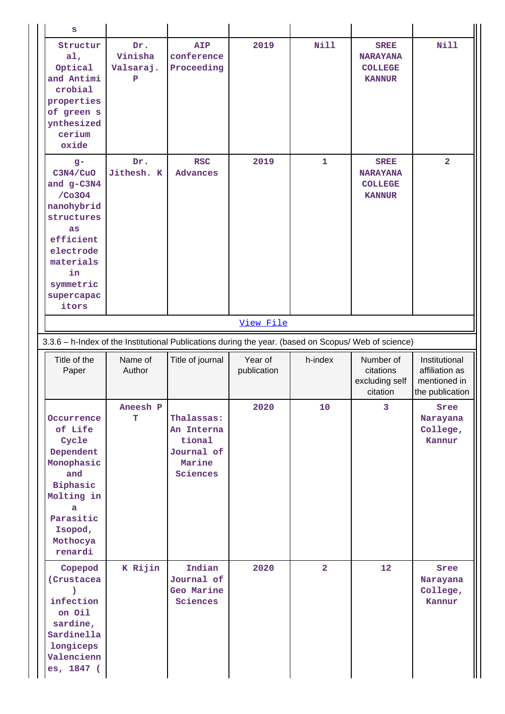| S                                                                                                                                                            |                                  |                                                                                                      |                        |                 |                                                                   |                                                                    |
|--------------------------------------------------------------------------------------------------------------------------------------------------------------|----------------------------------|------------------------------------------------------------------------------------------------------|------------------------|-----------------|-------------------------------------------------------------------|--------------------------------------------------------------------|
| Structur<br>a1,<br>Optical<br>and Antimi<br>crobial<br>properties<br>of green s<br>ynthesized<br>cerium<br>oxide                                             | Dr.<br>Vinisha<br>Valsaraj.<br>P | <b>AIP</b><br>conference<br>Proceeding                                                               | 2019                   | <b>Nill</b>     | <b>SREE</b><br><b>NARAYANA</b><br><b>COLLEGE</b><br><b>KANNUR</b> | <b>Nill</b>                                                        |
| $g -$<br>C3N4/CuO<br>and g-C3N4<br>/Co3O4<br>nanohybrid<br>structures<br>as<br>efficient<br>electrode<br>materials<br>in<br>symmetric<br>supercapac<br>itors | Dr.<br>Jithesh. K                | <b>RSC</b><br><b>Advances</b>                                                                        | 2019                   | 1               | <b>SREE</b><br><b>NARAYANA</b><br><b>COLLEGE</b><br><b>KANNUR</b> | $\overline{a}$                                                     |
|                                                                                                                                                              |                                  |                                                                                                      | View File              |                 |                                                                   |                                                                    |
|                                                                                                                                                              |                                  | 3.3.6 - h-Index of the Institutional Publications during the year. (based on Scopus/ Web of science) |                        |                 |                                                                   |                                                                    |
|                                                                                                                                                              |                                  |                                                                                                      |                        |                 |                                                                   |                                                                    |
| Title of the<br>Paper                                                                                                                                        | Name of<br>Author                | Title of journal                                                                                     | Year of<br>publication | h-index         | Number of<br>citations<br>excluding self<br>citation              | Institutional<br>affiliation as<br>mentioned in<br>the publication |
| Occurrence<br>of Life<br>Cycle<br>Dependent<br>Monophasic<br>and<br>Biphasic<br>Molting in<br>a<br>Parasitic<br>Isopod,<br>Mothocya<br>renardi               | Aneesh P<br>т                    | Thalassas:<br>An Interna<br>tional<br>Journal of<br>Marine<br>Sciences                               | 2020                   | 10 <sup>°</sup> | 3                                                                 | Sree<br>Narayana<br>College,<br>Kannur                             |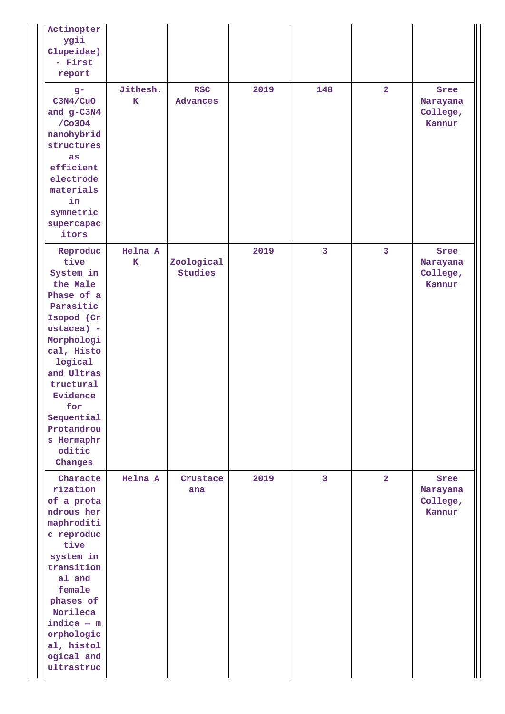| Actinopter<br>ygii<br>Clupeidae)<br>- First<br>report                                                                                                                                                                                                |                         |                        |      |                |                         |                                        |
|------------------------------------------------------------------------------------------------------------------------------------------------------------------------------------------------------------------------------------------------------|-------------------------|------------------------|------|----------------|-------------------------|----------------------------------------|
| $g-$<br>C3N4/CuO<br>and $g-C3N4$<br>/Co3O4<br>nanohybrid<br>structures<br><b>as</b><br>efficient<br>electrode<br>materials<br>in<br>symmetric<br>supercapac<br>itors                                                                                 | Jithesh.<br>$\mathbf K$ | <b>RSC</b><br>Advances | 2019 | 148            | $\overline{2}$          | Sree<br>Narayana<br>College,<br>Kannur |
| Reproduc<br>tive<br>System in<br>the Male<br>Phase of a<br>Parasitic<br>Isopod (Cr<br>ustacea) -<br>Morphologi<br>cal, Histo<br>logical<br>and Ultras<br>tructural<br>Evidence<br>for<br>Sequential<br>Protandrou<br>s Hermaphr<br>oditic<br>Changes | Helna A<br>K            | Zoological<br>Studies  | 2019 | $\overline{3}$ | $\overline{\mathbf{3}}$ | Sree<br>Narayana<br>College,<br>Kannur |
| Characte<br>rization<br>of a prota<br>ndrous her<br>maphroditi<br>c reproduc<br>tive<br>system in<br>transition<br>al and<br>female<br>phases of<br>Norileca<br>$indica - m$<br>orphologic<br>al, histol<br>ogical and<br>ultrastruc                 | Helna A                 | Crustace<br>ana        | 2019 | $\overline{3}$ | $\overline{2}$          | Sree<br>Narayana<br>College,<br>Kannur |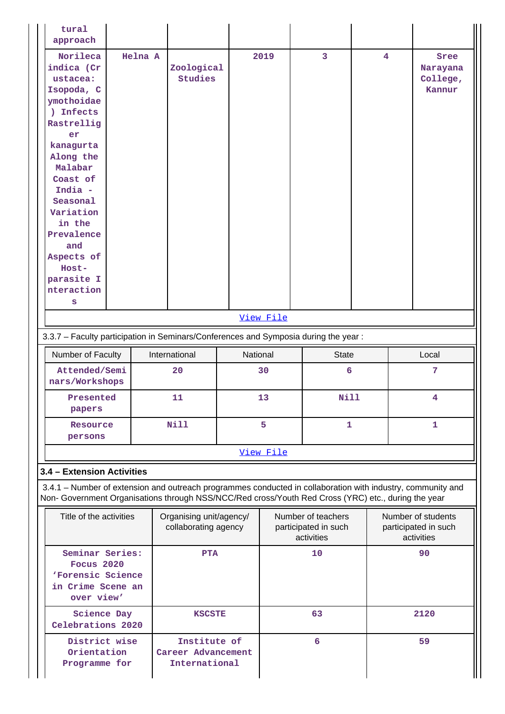| tural<br>approach                                                                                                                                                                                                                                                           |                                                    |                                                     |                                                          |             |                         |    |                                                          |
|-----------------------------------------------------------------------------------------------------------------------------------------------------------------------------------------------------------------------------------------------------------------------------|----------------------------------------------------|-----------------------------------------------------|----------------------------------------------------------|-------------|-------------------------|----|----------------------------------------------------------|
| Norileca<br>indica (Cr<br>ustacea:<br>Isopoda, C<br>ymothoidae<br>) Infects<br>Rastrellig<br>er<br>kanagurta<br>Along the<br>Malabar<br>Coast of<br>India -<br>Seasonal<br>Variation<br>in the<br>Prevalence<br>and<br>Aspects of<br>Host-<br>parasite I<br>nteraction<br>s | Helna A<br>Zoological<br>Studies                   |                                                     | 2019                                                     | 3           | $\overline{\mathbf{4}}$ |    | Sree<br>Narayana<br>College,<br>Kannur                   |
|                                                                                                                                                                                                                                                                             |                                                    |                                                     | View File                                                |             |                         |    |                                                          |
| 3.3.7 - Faculty participation in Seminars/Conferences and Symposia during the year:                                                                                                                                                                                         |                                                    |                                                     |                                                          |             |                         |    |                                                          |
| Number of Faculty                                                                                                                                                                                                                                                           | International<br>National<br><b>State</b><br>Local |                                                     |                                                          |             |                         |    |                                                          |
| Attended/Semi<br>nars/Workshops                                                                                                                                                                                                                                             | 20                                                 |                                                     | 30                                                       | 6           |                         |    | 7                                                        |
| Presented<br>papers                                                                                                                                                                                                                                                         | 11                                                 |                                                     | 13                                                       | <b>Nill</b> |                         |    | 4                                                        |
| Resource<br>persons                                                                                                                                                                                                                                                         | <b>Nill</b>                                        |                                                     | 5                                                        |             | 1                       |    | 1                                                        |
|                                                                                                                                                                                                                                                                             |                                                    |                                                     | View File                                                |             |                         |    |                                                          |
| 3.4 - Extension Activities                                                                                                                                                                                                                                                  |                                                    |                                                     |                                                          |             |                         |    |                                                          |
| 3.4.1 – Number of extension and outreach programmes conducted in collaboration with industry, community and<br>Non- Government Organisations through NSS/NCC/Red cross/Youth Red Cross (YRC) etc., during the year                                                          |                                                    |                                                     |                                                          |             |                         |    |                                                          |
| Title of the activities                                                                                                                                                                                                                                                     |                                                    | Organising unit/agency/<br>collaborating agency     | Number of teachers<br>participated in such<br>activities |             |                         |    | Number of students<br>participated in such<br>activities |
| Seminar Series:<br>Focus 2020<br>'Forensic Science<br>in Crime Scene an<br>over view'                                                                                                                                                                                       |                                                    | <b>PTA</b>                                          |                                                          | 10          |                         |    | 90                                                       |
| Science Day<br>Celebrations 2020                                                                                                                                                                                                                                            |                                                    | <b>KSCSTE</b>                                       |                                                          | 63          |                         |    | 2120                                                     |
| District wise<br>Orientation<br>Programme for                                                                                                                                                                                                                               |                                                    | Institute of<br>Career Advancement<br>International |                                                          | 6           |                         | 59 |                                                          |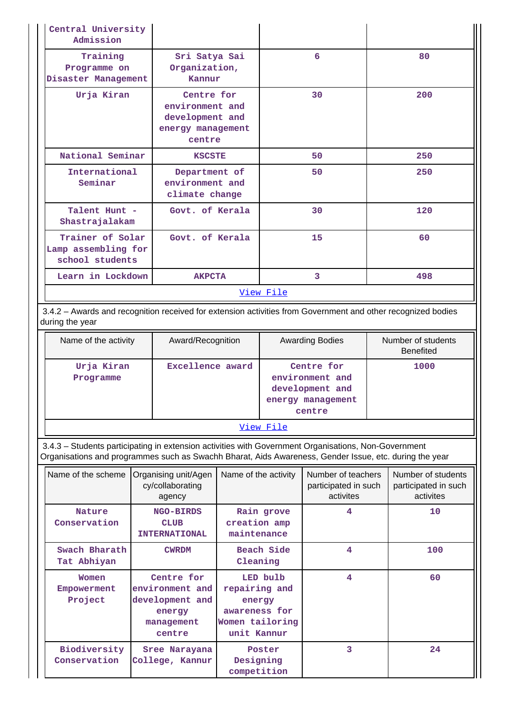| Central University<br>Admission                                                                                                                                                                                |                                                                                    |                                                                                        |                  |                                                                                 |  |                                                         |  |
|----------------------------------------------------------------------------------------------------------------------------------------------------------------------------------------------------------------|------------------------------------------------------------------------------------|----------------------------------------------------------------------------------------|------------------|---------------------------------------------------------------------------------|--|---------------------------------------------------------|--|
| Training<br>Programme on<br>Disaster Management                                                                                                                                                                | Sri Satya Sai<br>Organization,<br>Kannur                                           |                                                                                        |                  | 6                                                                               |  | 80                                                      |  |
| Urja Kiran                                                                                                                                                                                                     | Centre for<br>environment and<br>development and<br>energy management<br>centre    |                                                                                        |                  | 30                                                                              |  | 200                                                     |  |
| National Seminar                                                                                                                                                                                               | <b>KSCSTE</b>                                                                      |                                                                                        |                  | 50                                                                              |  | 250                                                     |  |
| International<br>Seminar                                                                                                                                                                                       | Department of<br>environment and<br>climate change                                 |                                                                                        |                  | 50                                                                              |  | 250                                                     |  |
| Talent Hunt -<br>Shastrajalakam                                                                                                                                                                                | Govt. of Kerala                                                                    |                                                                                        |                  | 30                                                                              |  | 120                                                     |  |
| Trainer of Solar<br>Lamp assembling for<br>school students                                                                                                                                                     | Govt. of Kerala                                                                    |                                                                                        |                  | 15                                                                              |  | 60                                                      |  |
| Learn in Lockdown                                                                                                                                                                                              | <b>AKPCTA</b>                                                                      |                                                                                        |                  | 3                                                                               |  | 498                                                     |  |
|                                                                                                                                                                                                                |                                                                                    |                                                                                        | <u>View File</u> |                                                                                 |  |                                                         |  |
| 3.4.2 - Awards and recognition received for extension activities from Government and other recognized bodies<br>during the year                                                                                |                                                                                    |                                                                                        |                  |                                                                                 |  |                                                         |  |
| Name of the activity                                                                                                                                                                                           | Award/Recognition                                                                  |                                                                                        |                  | <b>Awarding Bodies</b>                                                          |  | Number of students<br><b>Benefited</b>                  |  |
| Urja Kiran<br>Programme                                                                                                                                                                                        |                                                                                    | Excellence award                                                                       |                  | Centre for<br>environment and<br>development and<br>energy management<br>centre |  | 1000                                                    |  |
|                                                                                                                                                                                                                |                                                                                    |                                                                                        | View File        |                                                                                 |  |                                                         |  |
| 3.4.3 - Students participating in extension activities with Government Organisations, Non-Government<br>Organisations and programmes such as Swachh Bharat, Aids Awareness, Gender Issue, etc. during the year |                                                                                    |                                                                                        |                  |                                                                                 |  |                                                         |  |
| Name of the scheme                                                                                                                                                                                             | Organising unit/Agen<br>cy/collaborating<br>agency                                 | Name of the activity                                                                   |                  | Number of teachers<br>participated in such<br>activites                         |  | Number of students<br>participated in such<br>activites |  |
| <b>Nature</b><br>Conservation                                                                                                                                                                                  | <b>NGO-BIRDS</b><br><b>CLUB</b><br><b>INTERNATIONAL</b>                            | creation amp<br>maintenance                                                            | Rain grove       | 4                                                                               |  | 10                                                      |  |
| Swach Bharath<br>Tat Abhiyan                                                                                                                                                                                   | <b>CWRDM</b>                                                                       | Cleaning                                                                               | Beach Side       | 4                                                                               |  | 100                                                     |  |
| Women<br>Empowerment<br>Project                                                                                                                                                                                | Centre for<br>environment and<br>development and<br>energy<br>management<br>centre | LED bulb<br>repairing and<br>energy<br>awareness for<br>Women tailoring<br>unit Kannur |                  | 4                                                                               |  | 60                                                      |  |
| Biodiversity<br>Conservation                                                                                                                                                                                   | Sree Narayana<br>College, Kannur                                                   | Designing<br>competition                                                               | Poster           | 3                                                                               |  | 24                                                      |  |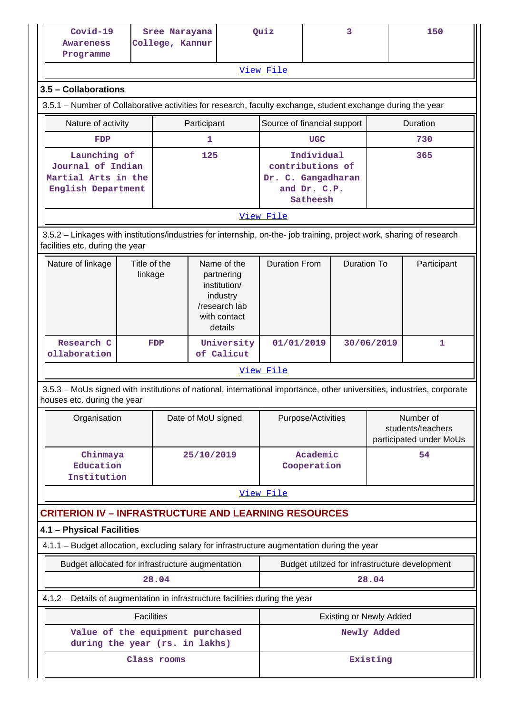| Covid-19<br><b>Awareness</b><br>Programme                                                                                                                |                         | Sree Narayana<br>College, Kannur |             |                                                                                                   | Quiz                                           | 3                                                         |                    |             | 150         |
|----------------------------------------------------------------------------------------------------------------------------------------------------------|-------------------------|----------------------------------|-------------|---------------------------------------------------------------------------------------------------|------------------------------------------------|-----------------------------------------------------------|--------------------|-------------|-------------|
|                                                                                                                                                          |                         |                                  |             |                                                                                                   | View File                                      |                                                           |                    |             |             |
| 3.5 - Collaborations                                                                                                                                     |                         |                                  |             |                                                                                                   |                                                |                                                           |                    |             |             |
| 3.5.1 – Number of Collaborative activities for research, faculty exchange, student exchange during the year                                              |                         |                                  |             |                                                                                                   |                                                |                                                           |                    |             |             |
| Nature of activity                                                                                                                                       |                         |                                  | Participant |                                                                                                   | Source of financial support                    |                                                           |                    |             | Duration    |
| FDP                                                                                                                                                      |                         |                                  | 1           |                                                                                                   |                                                | <b>UGC</b>                                                |                    |             | 730         |
| Launching of<br>Journal of Indian<br>Martial Arts in the<br>English Department                                                                           |                         |                                  | 125         |                                                                                                   | contributions of<br>Dr. C. Gangadharan         | Individual<br>and Dr. C.P.<br>Satheesh                    |                    |             | 365         |
|                                                                                                                                                          |                         |                                  |             |                                                                                                   | View File                                      |                                                           |                    |             |             |
| 3.5.2 - Linkages with institutions/industries for internship, on-the- job training, project work, sharing of research<br>facilities etc. during the year |                         |                                  |             |                                                                                                   |                                                |                                                           |                    |             |             |
| Nature of linkage                                                                                                                                        | Title of the<br>linkage |                                  |             | Name of the<br>partnering<br>institution/<br>industry<br>/research lab<br>with contact<br>details | <b>Duration From</b>                           |                                                           | <b>Duration To</b> |             | Participant |
| Research C<br>ollaboration                                                                                                                               |                         | <b>FDP</b>                       |             | University<br>of Calicut                                                                          | 01/01/2019                                     |                                                           | 30/06/2019         |             | 1           |
|                                                                                                                                                          |                         |                                  |             |                                                                                                   | View File                                      |                                                           |                    |             |             |
| 3.5.3 – MoUs signed with institutions of national, international importance, other universities, industries, corporate                                   |                         |                                  |             |                                                                                                   |                                                |                                                           |                    |             |             |
| houses etc. during the year                                                                                                                              |                         |                                  |             |                                                                                                   |                                                |                                                           |                    |             |             |
| Organisation                                                                                                                                             |                         | Date of MoU signed               |             | Purpose/Activities                                                                                |                                                | Number of<br>students/teachers<br>participated under MoUs |                    |             |             |
| Chinmaya<br>Education<br>Institution                                                                                                                     |                         |                                  | 25/10/2019  |                                                                                                   |                                                | Academic<br>Cooperation                                   |                    |             | 54          |
|                                                                                                                                                          |                         |                                  |             |                                                                                                   | View File                                      |                                                           |                    |             |             |
| <b>CRITERION IV - INFRASTRUCTURE AND LEARNING RESOURCES</b>                                                                                              |                         |                                  |             |                                                                                                   |                                                |                                                           |                    |             |             |
| 4.1 - Physical Facilities                                                                                                                                |                         |                                  |             |                                                                                                   |                                                |                                                           |                    |             |             |
| 4.1.1 - Budget allocation, excluding salary for infrastructure augmentation during the year                                                              |                         |                                  |             |                                                                                                   |                                                |                                                           |                    |             |             |
| Budget allocated for infrastructure augmentation                                                                                                         |                         |                                  |             |                                                                                                   | Budget utilized for infrastructure development |                                                           |                    |             |             |
|                                                                                                                                                          |                         | 28.04                            |             |                                                                                                   |                                                |                                                           |                    | 28.04       |             |
| 4.1.2 - Details of augmentation in infrastructure facilities during the year                                                                             |                         |                                  |             |                                                                                                   |                                                |                                                           |                    |             |             |
|                                                                                                                                                          | <b>Facilities</b>       |                                  |             |                                                                                                   | <b>Existing or Newly Added</b>                 |                                                           |                    |             |             |
| Value of the equipment purchased<br>during the year (rs. in lakhs)                                                                                       |                         |                                  |             |                                                                                                   |                                                |                                                           |                    | Newly Added |             |
| Class rooms                                                                                                                                              |                         |                                  |             | Existing                                                                                          |                                                |                                                           |                    |             |             |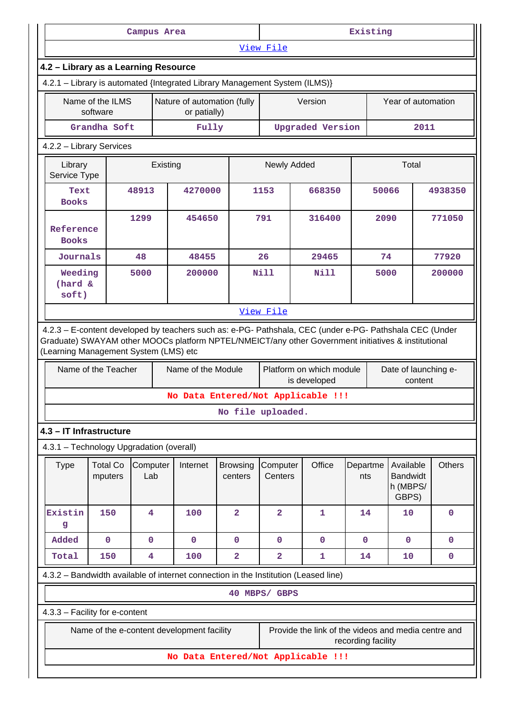| Campus Area                                                                                                                                  |                              |                         |                                             | Existing                   |                         |                                          |                    |                                                     |               |
|----------------------------------------------------------------------------------------------------------------------------------------------|------------------------------|-------------------------|---------------------------------------------|----------------------------|-------------------------|------------------------------------------|--------------------|-----------------------------------------------------|---------------|
|                                                                                                                                              |                              |                         |                                             |                            | View File               |                                          |                    |                                                     |               |
| 4.2 - Library as a Learning Resource                                                                                                         |                              |                         |                                             |                            |                         |                                          |                    |                                                     |               |
| 4.2.1 - Library is automated {Integrated Library Management System (ILMS)}                                                                   |                              |                         |                                             |                            |                         |                                          |                    |                                                     |               |
|                                                                                                                                              | Name of the ILMS<br>software |                         | Nature of automation (fully<br>or patially) |                            |                         | Version                                  |                    | Year of automation                                  |               |
|                                                                                                                                              | Grandha Soft                 |                         | Fully                                       |                            |                         | <b>Upgraded Version</b>                  |                    | 2011                                                |               |
| 4.2.2 - Library Services                                                                                                                     |                              |                         |                                             |                            |                         |                                          |                    |                                                     |               |
| Library<br>Service Type                                                                                                                      |                              | Existing                |                                             |                            | Newly Added             |                                          |                    | Total                                               |               |
| Text<br><b>Books</b>                                                                                                                         |                              | 48913                   | 4270000                                     |                            | 1153                    | 668350                                   |                    | 50066                                               | 4938350       |
| Reference<br><b>Books</b>                                                                                                                    |                              | 1299                    | 454650                                      |                            | 791                     | 316400                                   |                    | 2090                                                | 771050        |
| Journals                                                                                                                                     |                              | 48                      | 48455                                       |                            | 26                      | 29465                                    |                    | 74                                                  | 77920         |
| Weeding<br>(hard &<br>soft)                                                                                                                  |                              | 5000                    | 200000                                      |                            | <b>Nill</b>             | <b>Nill</b>                              |                    | 5000                                                | 200000        |
|                                                                                                                                              |                              |                         |                                             |                            | View File               |                                          |                    |                                                     |               |
| 4.2.3 - E-content developed by teachers such as: e-PG- Pathshala, CEC (under e-PG- Pathshala CEC (Under                                      |                              |                         |                                             |                            |                         |                                          |                    |                                                     |               |
| Graduate) SWAYAM other MOOCs platform NPTEL/NMEICT/any other Government initiatives & institutional<br>(Learning Management System (LMS) etc | Name of the Teacher          |                         | Name of the Module                          |                            |                         | Platform on which module<br>is developed |                    | Date of launching e-<br>content                     |               |
|                                                                                                                                              |                              |                         | No Data Entered/Not Applicable !!!          |                            | No file uploaded.       |                                          |                    |                                                     |               |
|                                                                                                                                              |                              |                         |                                             |                            |                         |                                          |                    |                                                     |               |
| 4.3 - IT Infrastructure<br>4.3.1 - Technology Upgradation (overall)                                                                          |                              |                         |                                             |                            |                         |                                          |                    |                                                     |               |
| <b>Type</b>                                                                                                                                  | <b>Total Co</b><br>mputers   | Computer<br>Lab         | Internet                                    | <b>Browsing</b><br>centers | Computer<br>Centers     | Office                                   | Departme<br>nts    | Available<br><b>Bandwidt</b><br>h (MBPS/<br>GBPS)   | <b>Others</b> |
| Existin<br>g                                                                                                                                 | 150                          | 4                       | 100                                         | $\overline{a}$             | $\overline{\mathbf{2}}$ | 1                                        | 14                 | 10                                                  | $\mathbf 0$   |
| Added                                                                                                                                        | $\mathbf 0$                  | $\mathbf{O}$            | $\mathbf 0$                                 | $\mathbf 0$                | $\mathbf 0$             | $\mathbf 0$                              | $\mathbf{0}$       | $\mathbf{0}$                                        | $\mathbf 0$   |
| Total                                                                                                                                        | 150                          | $\overline{\mathbf{4}}$ | 100                                         | $\overline{\mathbf{2}}$    | $\overline{\mathbf{2}}$ | 1                                        | 14                 | 10                                                  | 0             |
| 4.3.2 - Bandwidth available of internet connection in the Institution (Leased line)                                                          |                              |                         |                                             |                            |                         |                                          |                    |                                                     |               |
|                                                                                                                                              |                              |                         |                                             |                            | 40 MBPS/ GBPS           |                                          |                    |                                                     |               |
| 4.3.3 - Facility for e-content                                                                                                               |                              |                         |                                             |                            |                         |                                          |                    |                                                     |               |
|                                                                                                                                              |                              |                         | Name of the e-content development facility  |                            |                         |                                          | recording facility | Provide the link of the videos and media centre and |               |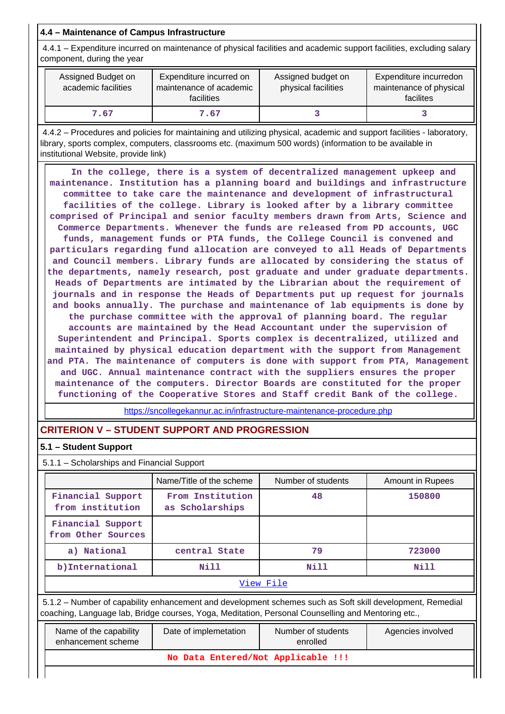# **4.4 – Maintenance of Campus Infrastructure**

 4.4.1 – Expenditure incurred on maintenance of physical facilities and academic support facilities, excluding salary component, during the year

| Assigned Budget on<br>academic facilities | Expenditure incurred on<br>maintenance of academic<br>facilities | Assigned budget on<br>physical facilities | Expenditure incurredon<br>maintenance of physical<br>facilites |
|-------------------------------------------|------------------------------------------------------------------|-------------------------------------------|----------------------------------------------------------------|
| 7.67                                      | 7.67                                                             |                                           |                                                                |

 4.4.2 – Procedures and policies for maintaining and utilizing physical, academic and support facilities - laboratory, library, sports complex, computers, classrooms etc. (maximum 500 words) (information to be available in institutional Website, provide link)

 **In the college, there is a system of decentralized management upkeep and maintenance. Institution has a planning board and buildings and infrastructure committee to take care the maintenance and development of infrastructural facilities of the college. Library is looked after by a library committee comprised of Principal and senior faculty members drawn from Arts, Science and Commerce Departments. Whenever the funds are released from PD accounts, UGC funds, management funds or PTA funds, the College Council is convened and particulars regarding fund allocation are conveyed to all Heads of Departments and Council members. Library funds are allocated by considering the status of the departments, namely research, post graduate and under graduate departments. Heads of Departments are intimated by the Librarian about the requirement of journals and in response the Heads of Departments put up request for journals and books annually. The purchase and maintenance of lab equipments is done by the purchase committee with the approval of planning board. The regular accounts are maintained by the Head Accountant under the supervision of Superintendent and Principal. Sports complex is decentralized, utilized and maintained by physical education department with the support from Management and PTA. The maintenance of computers is done with support from PTA, Management and UGC. Annual maintenance contract with the suppliers ensures the proper maintenance of the computers. Director Boards are constituted for the proper functioning of the Cooperative Stores and Staff credit Bank of the college.**

<https://sncollegekannur.ac.in/infrastructure-maintenance-procedure.php>

# **CRITERION V – STUDENT SUPPORT AND PROGRESSION**

## **5.1 – Student Support**

5.1.1 – Scholarships and Financial Support

|                                         | Name/Title of the scheme            | Number of students | Amount in Rupees |  |  |  |  |
|-----------------------------------------|-------------------------------------|--------------------|------------------|--|--|--|--|
| Financial Support<br>from institution   | From Institution<br>as Scholarships | 48                 | 150800           |  |  |  |  |
| Financial Support<br>from Other Sources |                                     |                    |                  |  |  |  |  |
| a) National                             | central State                       | 79                 | 723000           |  |  |  |  |
| b) International                        | Nill                                |                    | Nill             |  |  |  |  |
|                                         | View File                           |                    |                  |  |  |  |  |

 5.1.2 – Number of capability enhancement and development schemes such as Soft skill development, Remedial coaching, Language lab, Bridge courses, Yoga, Meditation, Personal Counselling and Mentoring etc.,

| Name of the capability<br>enhancement scheme | Date of implemetation              | Number of students<br>enrolled | Agencies involved |  |  |  |  |
|----------------------------------------------|------------------------------------|--------------------------------|-------------------|--|--|--|--|
|                                              | No Data Entered/Not Applicable !!! |                                |                   |  |  |  |  |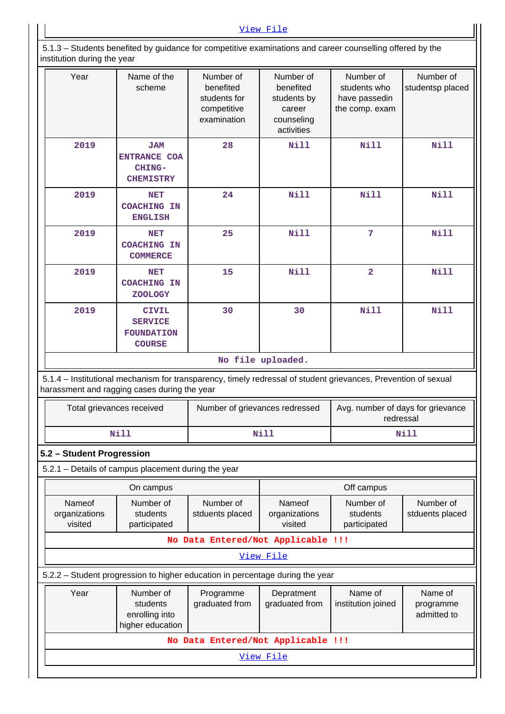5.1.3 – Students benefited by guidance for competitive examinations and career counselling offered by the institution during the year

| Thistitution during the year       |                                                                                                                                                                |                                                                      |                                                                             |                                                              |                                     |  |  |
|------------------------------------|----------------------------------------------------------------------------------------------------------------------------------------------------------------|----------------------------------------------------------------------|-----------------------------------------------------------------------------|--------------------------------------------------------------|-------------------------------------|--|--|
| Year                               | Name of the<br>scheme                                                                                                                                          | Number of<br>benefited<br>students for<br>competitive<br>examination | Number of<br>benefited<br>students by<br>career<br>counseling<br>activities | Number of<br>students who<br>have passedin<br>the comp. exam | Number of<br>studentsp placed       |  |  |
| 2019                               | <b>JAM</b><br><b>ENTRANCE COA</b><br>CHING-<br><b>CHEMISTRY</b>                                                                                                | 28                                                                   | <b>Nill</b>                                                                 | <b>Nill</b>                                                  | <b>Nill</b>                         |  |  |
| 2019                               | <b>NET</b><br><b>COACHING IN</b><br><b>ENGLISH</b>                                                                                                             | 24                                                                   | <b>Nill</b>                                                                 | <b>Nill</b>                                                  | <b>Nill</b>                         |  |  |
| 2019                               | NET<br><b>COACHING IN</b><br><b>COMMERCE</b>                                                                                                                   | 25                                                                   | <b>Nill</b>                                                                 | 7                                                            | <b>Nill</b>                         |  |  |
| 2019                               | NET<br><b>COACHING IN</b><br><b>ZOOLOGY</b>                                                                                                                    | 15                                                                   | <b>Nill</b>                                                                 | $\overline{a}$                                               | <b>Nill</b>                         |  |  |
| 2019                               | <b>CIVIL</b><br><b>SERVICE</b><br><b>FOUNDATION</b><br><b>COURSE</b>                                                                                           | 30                                                                   | 30                                                                          | <b>Nill</b>                                                  | <b>Nill</b>                         |  |  |
|                                    |                                                                                                                                                                |                                                                      | No file uploaded.                                                           |                                                              |                                     |  |  |
|                                    | 5.1.4 - Institutional mechanism for transparency, timely redressal of student grievances, Prevention of sexual<br>harassment and ragging cases during the year |                                                                      |                                                                             |                                                              |                                     |  |  |
| Total grievances received          |                                                                                                                                                                | Number of grievances redressed                                       |                                                                             | Avg. number of days for grievance<br>redressal               |                                     |  |  |
|                                    | <b>Nill</b>                                                                                                                                                    |                                                                      | <b>Nill</b>                                                                 |                                                              | <b>Nill</b>                         |  |  |
| 5.2 - Student Progression          |                                                                                                                                                                |                                                                      |                                                                             |                                                              |                                     |  |  |
|                                    | 5.2.1 - Details of campus placement during the year                                                                                                            |                                                                      |                                                                             |                                                              |                                     |  |  |
|                                    | On campus                                                                                                                                                      |                                                                      |                                                                             | Off campus                                                   |                                     |  |  |
| Nameof<br>organizations<br>visited | Number of<br>students<br>participated                                                                                                                          | Number of<br>stduents placed                                         | Nameof<br>organizations<br>visited                                          | Number of<br>students<br>participated                        | Number of<br>stduents placed        |  |  |
| No Data Entered/Not Applicable !!! |                                                                                                                                                                |                                                                      |                                                                             |                                                              |                                     |  |  |
| View File                          |                                                                                                                                                                |                                                                      |                                                                             |                                                              |                                     |  |  |
|                                    | 5.2.2 – Student progression to higher education in percentage during the year                                                                                  |                                                                      |                                                                             |                                                              |                                     |  |  |
| Year                               | Number of<br>students<br>enrolling into<br>higher education                                                                                                    | Programme<br>graduated from                                          | Depratment<br>graduated from                                                | Name of<br>institution joined                                | Name of<br>programme<br>admitted to |  |  |
|                                    |                                                                                                                                                                | No Data Entered/Not Applicable !!!                                   |                                                                             |                                                              |                                     |  |  |
| View File                          |                                                                                                                                                                |                                                                      |                                                                             |                                                              |                                     |  |  |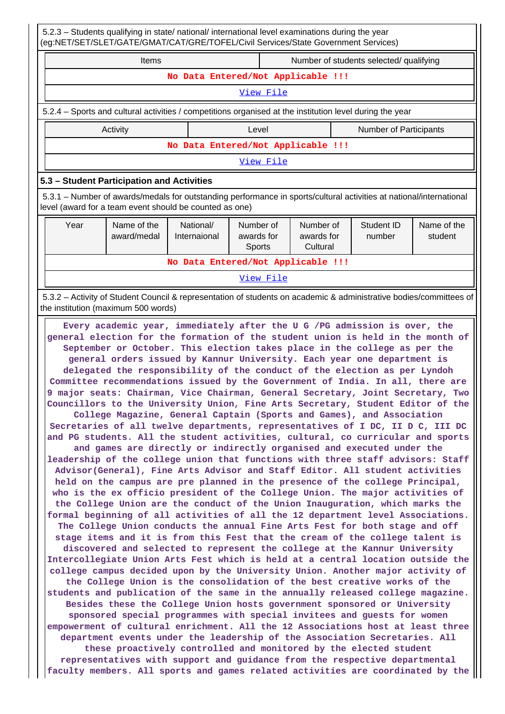| 5.2.3 - Students qualifying in state/ national/ international level examinations during the year<br>(eg:NET/SET/SLET/GATE/GMAT/CAT/GRE/TOFEL/Civil Services/State Government Services)                                                                                                                                                                                                                                                                                                                                                                                                                                                                                                                                                                                                                                                                                                                                                                                                                                                                                                                                                                                                                                                                                                                                                                                                                                                                                                                                                                                                                                                                                                                                                                                                                                                                                                                                                                                                                                                                                                                                                                                                                                                                                                                             |                           |  |                                   |                                     |                               |                        |
|--------------------------------------------------------------------------------------------------------------------------------------------------------------------------------------------------------------------------------------------------------------------------------------------------------------------------------------------------------------------------------------------------------------------------------------------------------------------------------------------------------------------------------------------------------------------------------------------------------------------------------------------------------------------------------------------------------------------------------------------------------------------------------------------------------------------------------------------------------------------------------------------------------------------------------------------------------------------------------------------------------------------------------------------------------------------------------------------------------------------------------------------------------------------------------------------------------------------------------------------------------------------------------------------------------------------------------------------------------------------------------------------------------------------------------------------------------------------------------------------------------------------------------------------------------------------------------------------------------------------------------------------------------------------------------------------------------------------------------------------------------------------------------------------------------------------------------------------------------------------------------------------------------------------------------------------------------------------------------------------------------------------------------------------------------------------------------------------------------------------------------------------------------------------------------------------------------------------------------------------------------------------------------------------------------------------|---------------------------|--|-----------------------------------|-------------------------------------|-------------------------------|------------------------|
| Items<br>Number of students selected/ qualifying                                                                                                                                                                                                                                                                                                                                                                                                                                                                                                                                                                                                                                                                                                                                                                                                                                                                                                                                                                                                                                                                                                                                                                                                                                                                                                                                                                                                                                                                                                                                                                                                                                                                                                                                                                                                                                                                                                                                                                                                                                                                                                                                                                                                                                                                   |                           |  |                                   |                                     |                               |                        |
|                                                                                                                                                                                                                                                                                                                                                                                                                                                                                                                                                                                                                                                                                                                                                                                                                                                                                                                                                                                                                                                                                                                                                                                                                                                                                                                                                                                                                                                                                                                                                                                                                                                                                                                                                                                                                                                                                                                                                                                                                                                                                                                                                                                                                                                                                                                    |                           |  |                                   | No Data Entered/Not Applicable !!!  |                               |                        |
|                                                                                                                                                                                                                                                                                                                                                                                                                                                                                                                                                                                                                                                                                                                                                                                                                                                                                                                                                                                                                                                                                                                                                                                                                                                                                                                                                                                                                                                                                                                                                                                                                                                                                                                                                                                                                                                                                                                                                                                                                                                                                                                                                                                                                                                                                                                    |                           |  | View File                         |                                     |                               |                        |
| 5.2.4 - Sports and cultural activities / competitions organised at the institution level during the year                                                                                                                                                                                                                                                                                                                                                                                                                                                                                                                                                                                                                                                                                                                                                                                                                                                                                                                                                                                                                                                                                                                                                                                                                                                                                                                                                                                                                                                                                                                                                                                                                                                                                                                                                                                                                                                                                                                                                                                                                                                                                                                                                                                                           |                           |  |                                   |                                     |                               |                        |
| Activity                                                                                                                                                                                                                                                                                                                                                                                                                                                                                                                                                                                                                                                                                                                                                                                                                                                                                                                                                                                                                                                                                                                                                                                                                                                                                                                                                                                                                                                                                                                                                                                                                                                                                                                                                                                                                                                                                                                                                                                                                                                                                                                                                                                                                                                                                                           |                           |  | Level                             |                                     | <b>Number of Participants</b> |                        |
|                                                                                                                                                                                                                                                                                                                                                                                                                                                                                                                                                                                                                                                                                                                                                                                                                                                                                                                                                                                                                                                                                                                                                                                                                                                                                                                                                                                                                                                                                                                                                                                                                                                                                                                                                                                                                                                                                                                                                                                                                                                                                                                                                                                                                                                                                                                    |                           |  |                                   | No Data Entered/Not Applicable !!!  |                               |                        |
|                                                                                                                                                                                                                                                                                                                                                                                                                                                                                                                                                                                                                                                                                                                                                                                                                                                                                                                                                                                                                                                                                                                                                                                                                                                                                                                                                                                                                                                                                                                                                                                                                                                                                                                                                                                                                                                                                                                                                                                                                                                                                                                                                                                                                                                                                                                    |                           |  | View File                         |                                     |                               |                        |
| 5.3 - Student Participation and Activities                                                                                                                                                                                                                                                                                                                                                                                                                                                                                                                                                                                                                                                                                                                                                                                                                                                                                                                                                                                                                                                                                                                                                                                                                                                                                                                                                                                                                                                                                                                                                                                                                                                                                                                                                                                                                                                                                                                                                                                                                                                                                                                                                                                                                                                                         |                           |  |                                   |                                     |                               |                        |
| 5.3.1 – Number of awards/medals for outstanding performance in sports/cultural activities at national/international<br>level (award for a team event should be counted as one)                                                                                                                                                                                                                                                                                                                                                                                                                                                                                                                                                                                                                                                                                                                                                                                                                                                                                                                                                                                                                                                                                                                                                                                                                                                                                                                                                                                                                                                                                                                                                                                                                                                                                                                                                                                                                                                                                                                                                                                                                                                                                                                                     |                           |  |                                   |                                     |                               |                        |
| Name of the<br>Year<br>award/medal                                                                                                                                                                                                                                                                                                                                                                                                                                                                                                                                                                                                                                                                                                                                                                                                                                                                                                                                                                                                                                                                                                                                                                                                                                                                                                                                                                                                                                                                                                                                                                                                                                                                                                                                                                                                                                                                                                                                                                                                                                                                                                                                                                                                                                                                                 | National/<br>Internaional |  | Number of<br>awards for<br>Sports | Number of<br>awards for<br>Cultural | Student ID<br>number          | Name of the<br>student |
|                                                                                                                                                                                                                                                                                                                                                                                                                                                                                                                                                                                                                                                                                                                                                                                                                                                                                                                                                                                                                                                                                                                                                                                                                                                                                                                                                                                                                                                                                                                                                                                                                                                                                                                                                                                                                                                                                                                                                                                                                                                                                                                                                                                                                                                                                                                    |                           |  |                                   | No Data Entered/Not Applicable !!!  |                               |                        |
|                                                                                                                                                                                                                                                                                                                                                                                                                                                                                                                                                                                                                                                                                                                                                                                                                                                                                                                                                                                                                                                                                                                                                                                                                                                                                                                                                                                                                                                                                                                                                                                                                                                                                                                                                                                                                                                                                                                                                                                                                                                                                                                                                                                                                                                                                                                    |                           |  | View File                         |                                     |                               |                        |
| 5.3.2 - Activity of Student Council & representation of students on academic & administrative bodies/committees of<br>the institution (maximum 500 words)<br>Every academic year, immediately after the U G /PG admission is over, the                                                                                                                                                                                                                                                                                                                                                                                                                                                                                                                                                                                                                                                                                                                                                                                                                                                                                                                                                                                                                                                                                                                                                                                                                                                                                                                                                                                                                                                                                                                                                                                                                                                                                                                                                                                                                                                                                                                                                                                                                                                                             |                           |  |                                   |                                     |                               |                        |
| general election for the formation of the student union is held in the month of<br>September or October. This election takes place in the college as per the<br>general orders issued by Kannur University. Each year one department is<br>delegated the responsibility of the conduct of the election as per Lyndoh<br>Committee recommendations issued by the Government of India. In all, there are<br>9 major seats: Chairman, Vice Chairman, General Secretary, Joint Secretary, Two<br>Councillors to the University Union, Fine Arts Secretary, Student Editor of the<br>College Magazine, General Captain (Sports and Games), and Association<br>Secretaries of all twelve departments, representatives of I DC, II D C, III DC<br>and PG students. All the student activities, cultural, co curricular and sports<br>and games are directly or indirectly organised and executed under the<br>leadership of the college union that functions with three staff advisors: Staff<br>Advisor(General), Fine Arts Advisor and Staff Editor. All student activities<br>held on the campus are pre planned in the presence of the college Principal,<br>who is the ex officio president of the College Union. The major activities of<br>the College Union are the conduct of the Union Inauguration, which marks the<br>formal beginning of all activities of all the 12 department level Associations.<br>The College Union conducts the annual Fine Arts Fest for both stage and off<br>stage items and it is from this Fest that the cream of the college talent is<br>discovered and selected to represent the college at the Kannur University<br>Intercollegiate Union Arts Fest which is held at a central location outside the<br>college campus decided upon by the University Union. Another major activity of<br>the College Union is the consolidation of the best creative works of the<br>students and publication of the same in the annually released college magazine.<br>Besides these the College Union hosts government sponsored or University<br>sponsored special programmes with special invitees and guests for women<br>empowerment of cultural enrichment. All the 12 Associations host at least three<br>department events under the leadership of the Association Secretaries. All |                           |  |                                   |                                     |                               |                        |

**these proactively controlled and monitored by the elected student representatives with support and guidance from the respective departmental faculty members. All sports and games related activities are coordinated by the**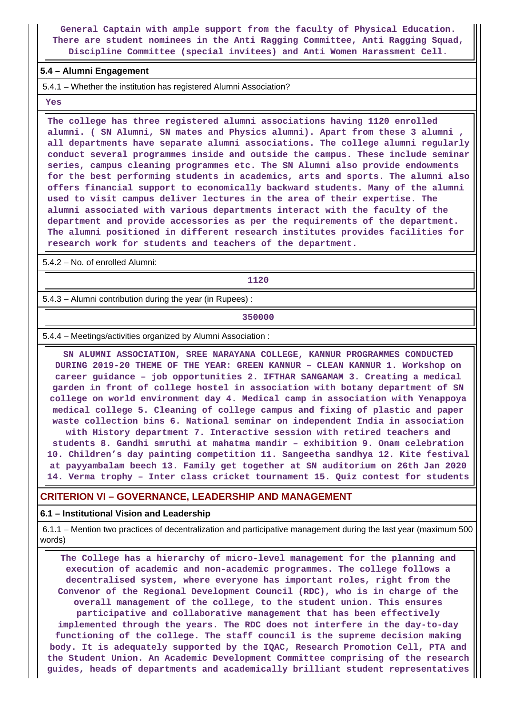**General Captain with ample support from the faculty of Physical Education. There are student nominees in the Anti Ragging Committee, Anti Ragging Squad, Discipline Committee (special invitees) and Anti Women Harassment Cell.**

#### **5.4 – Alumni Engagement**

5.4.1 – Whether the institution has registered Alumni Association?

 **Yes**

 **The college has three registered alumni associations having 1120 enrolled alumni. ( SN Alumni, SN mates and Physics alumni). Apart from these 3 alumni , all departments have separate alumni associations. The college alumni regularly conduct several programmes inside and outside the campus. These include seminar series, campus cleaning programmes etc. The SN Alumni also provide endowments for the best performing students in academics, arts and sports. The alumni also offers financial support to economically backward students. Many of the alumni used to visit campus deliver lectures in the area of their expertise. The alumni associated with various departments interact with the faculty of the department and provide accessories as per the requirements of the department. The alumni positioned in different research institutes provides facilities for research work for students and teachers of the department.**

5.4.2 – No. of enrolled Alumni:

**1120**

5.4.3 – Alumni contribution during the year (in Rupees) :

**350000**

5.4.4 – Meetings/activities organized by Alumni Association :

 **SN ALUMNI ASSOCIATION, SREE NARAYANA COLLEGE, KANNUR PROGRAMMES CONDUCTED DURING 2019-20 THEME OF THE YEAR: GREEN KANNUR – CLEAN KANNUR 1. Workshop on career guidance – job opportunities 2. IFTHAR SANGAMAM 3. Creating a medical garden in front of college hostel in association with botany department of SN college on world environment day 4. Medical camp in association with Yenappoya medical college 5. Cleaning of college campus and fixing of plastic and paper waste collection bins 6. National seminar on independent India in association with History department 7. Interactive session with retired teachers and students 8. Gandhi smruthi at mahatma mandir – exhibition 9. Onam celebration 10. Children's day painting competition 11. Sangeetha sandhya 12. Kite festival at payyambalam beech 13. Family get together at SN auditorium on 26th Jan 2020 14. Verma trophy – Inter class cricket tournament 15. Quiz contest for students**

#### **CRITERION VI – GOVERNANCE, LEADERSHIP AND MANAGEMENT**

#### **6.1 – Institutional Vision and Leadership**

 6.1.1 – Mention two practices of decentralization and participative management during the last year (maximum 500 words)

 **The College has a hierarchy of micro-level management for the planning and execution of academic and non-academic programmes. The college follows a decentralised system, where everyone has important roles, right from the Convenor of the Regional Development Council (RDC), who is in charge of the overall management of the college, to the student union. This ensures participative and collaborative management that has been effectively implemented through the years. The RDC does not interfere in the day-to-day functioning of the college. The staff council is the supreme decision making body. It is adequately supported by the IQAC, Research Promotion Cell, PTA and the Student Union. An Academic Development Committee comprising of the research guides, heads of departments and academically brilliant student representatives**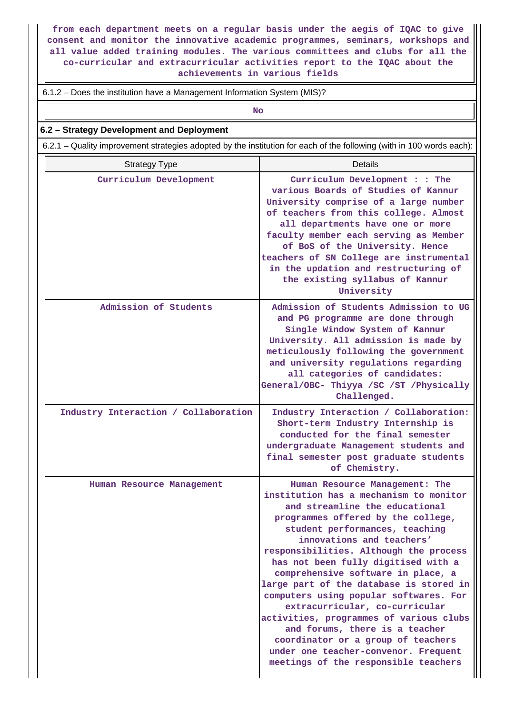**from each department meets on a regular basis under the aegis of IQAC to give consent and monitor the innovative academic programmes, seminars, workshops and all value added training modules. The various committees and clubs for all the co-curricular and extracurricular activities report to the IQAC about the achievements in various fields**

6.1.2 – Does the institution have a Management Information System (MIS)?

**No. 2. In the case of the case of the case of the case of the case of the case of the case of the case of the case of the case of the case of the case of the case of the case of the case of the case of the case of the cas** 

## **6.2 – Strategy Development and Deployment**

6.2.1 – Quality improvement strategies adopted by the institution for each of the following (with in 100 words each):

| <b>Strategy Type</b>                 | Details                                                                                                                                                                                                                                                                                                                                                                                                                                                                                                                                                                                                                                                          |
|--------------------------------------|------------------------------------------------------------------------------------------------------------------------------------------------------------------------------------------------------------------------------------------------------------------------------------------------------------------------------------------------------------------------------------------------------------------------------------------------------------------------------------------------------------------------------------------------------------------------------------------------------------------------------------------------------------------|
| Curriculum Development               | Curriculum Development : : The<br>various Boards of Studies of Kannur<br>University comprise of a large number<br>of teachers from this college. Almost<br>all departments have one or more<br>faculty member each serving as Member<br>of BoS of the University. Hence<br>teachers of SN College are instrumental<br>in the updation and restructuring of<br>the existing syllabus of Kannur<br>University                                                                                                                                                                                                                                                      |
| Admission of Students                | Admission of Students Admission to UG<br>and PG programme are done through<br>Single Window System of Kannur<br>University. All admission is made by<br>meticulously following the government<br>and university regulations regarding<br>all categories of candidates:<br>General/OBC- Thiyya /SC /ST /Physically<br>Challenged.                                                                                                                                                                                                                                                                                                                                 |
| Industry Interaction / Collaboration | Industry Interaction / Collaboration:<br>Short-term Industry Internship is<br>conducted for the final semester<br>undergraduate Management students and<br>final semester post graduate students<br>of Chemistry.                                                                                                                                                                                                                                                                                                                                                                                                                                                |
| Human Resource Management            | Human Resource Management: The<br>institution has a mechanism to monitor<br>and streamline the educational<br>programmes offered by the college,<br>student performances, teaching<br>innovations and teachers'<br>responsibilities. Although the process<br>has not been fully digitised with a<br>comprehensive software in place, a<br>large part of the database is stored in<br>computers using popular softwares. For<br>extracurricular, co-curricular<br>activities, programmes of various clubs<br>and forums, there is a teacher<br>coordinator or a group of teachers<br>under one teacher-convenor. Frequent<br>meetings of the responsible teachers |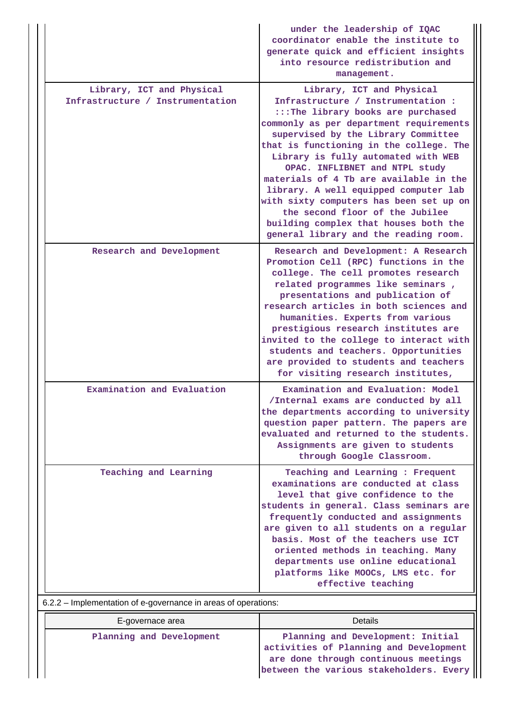|                                                                                         | under the leadership of IQAC<br>coordinator enable the institute to<br>generate quick and efficient insights<br>into resource redistribution and<br>management.                                                                                                                                                                                                                                                                                                                                                                                                |
|-----------------------------------------------------------------------------------------|----------------------------------------------------------------------------------------------------------------------------------------------------------------------------------------------------------------------------------------------------------------------------------------------------------------------------------------------------------------------------------------------------------------------------------------------------------------------------------------------------------------------------------------------------------------|
| Library, ICT and Physical<br>Infrastructure / Instrumentation                           | Library, ICT and Physical<br>Infrastructure / Instrumentation :<br>:::The library books are purchased<br>commonly as per department requirements<br>supervised by the Library Committee<br>that is functioning in the college. The<br>Library is fully automated with WEB<br>OPAC. INFLIBNET and NTPL study<br>materials of 4 Tb are available in the<br>library. A well equipped computer lab<br>with sixty computers has been set up on<br>the second floor of the Jubilee<br>building complex that houses both the<br>general library and the reading room. |
| Research and Development                                                                | Research and Development: A Research<br>Promotion Cell (RPC) functions in the<br>college. The cell promotes research<br>related programmes like seminars,<br>presentations and publication of<br>research articles in both sciences and<br>humanities. Experts from various<br>prestigious research institutes are<br>invited to the college to interact with<br>students and teachers. Opportunities<br>are provided to students and teachers<br>for visiting research institutes,                                                                            |
| Examination and Evaluation                                                              | Examination and Evaluation: Model<br>/Internal exams are conducted by all<br>the departments according to university<br>question paper pattern. The papers are<br>evaluated and returned to the students.<br>Assignments are given to students<br>through Google Classroom.                                                                                                                                                                                                                                                                                    |
| Teaching and Learning<br>6.2.2 - Implementation of e-governance in areas of operations: | Teaching and Learning : Frequent<br>examinations are conducted at class<br>level that give confidence to the<br>students in general. Class seminars are<br>frequently conducted and assignments<br>are given to all students on a regular<br>basis. Most of the teachers use ICT<br>oriented methods in teaching. Many<br>departments use online educational<br>platforms like MOOCs, LMS etc. for<br>effective teaching                                                                                                                                       |

| E-governace area         | Details                                                                                                                                                        |
|--------------------------|----------------------------------------------------------------------------------------------------------------------------------------------------------------|
| Planning and Development | Planning and Development: Initial<br>activities of Planning and Development<br>are done through continuous meetings<br>between the various stakeholders. Every |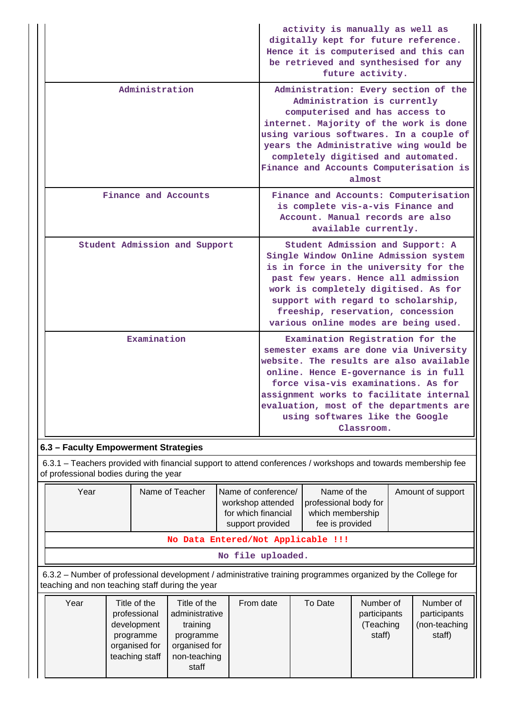|                                                                                                                                                       | activity is manually as well as<br>digitally kept for future reference.<br>Hence it is computerised and this can<br>be retrieved and synthesised for any<br>future activity.                                                                                                                                                                 |
|-------------------------------------------------------------------------------------------------------------------------------------------------------|----------------------------------------------------------------------------------------------------------------------------------------------------------------------------------------------------------------------------------------------------------------------------------------------------------------------------------------------|
| Administration                                                                                                                                        | Administration: Every section of the<br>Administration is currently<br>computerised and has access to<br>internet. Majority of the work is done<br>using various softwares. In a couple of<br>years the Administrative wing would be<br>completely digitised and automated.<br>Finance and Accounts Computerisation is<br>almost             |
| Finance and Accounts                                                                                                                                  | Finance and Accounts: Computerisation<br>is complete vis-a-vis Finance and<br>Account. Manual records are also<br>available currently.                                                                                                                                                                                                       |
| Student Admission and Support                                                                                                                         | Student Admission and Support: A<br>Single Window Online Admission system<br>is in force in the university for the<br>past few years. Hence all admission<br>work is completely digitised. As for<br>support with regard to scholarship,<br>freeship, reservation, concession<br>various online modes are being used.                        |
| Examination                                                                                                                                           | Examination Registration for the<br>semester exams are done via University<br>website. The results are also available<br>online. Hence E-governance is in full<br>force visa-vis examinations. As for<br>assignment works to facilitate internal<br>evaluation, most of the departments are<br>using softwares like the Google<br>Classroom. |
| 6.3 - Faculty Empowerment Strategies<br>6.3.1 - Teachers provided with financial support to attend conferences / workshops and towards membership fee |                                                                                                                                                                                                                                                                                                                                              |

of professional bodies during the year

| Year                                                                                                                                                            |                                                                 | Name of conference/<br>Name of the<br>Name of Teacher<br>professional body for<br>workshop attended<br>which membership<br>for which financial<br>fee is provided<br>support provided |           |         |                                                                       |  | Amount of support                                  |  |
|-----------------------------------------------------------------------------------------------------------------------------------------------------------------|-----------------------------------------------------------------|---------------------------------------------------------------------------------------------------------------------------------------------------------------------------------------|-----------|---------|-----------------------------------------------------------------------|--|----------------------------------------------------|--|
| No Data Entered/Not Applicable !!!                                                                                                                              |                                                                 |                                                                                                                                                                                       |           |         |                                                                       |  |                                                    |  |
| No file uploaded.                                                                                                                                               |                                                                 |                                                                                                                                                                                       |           |         |                                                                       |  |                                                    |  |
| 6.3.2 – Number of professional development / administrative training programmes organized by the College for<br>teaching and non teaching staff during the year |                                                                 |                                                                                                                                                                                       |           |         |                                                                       |  |                                                    |  |
| Year                                                                                                                                                            | Title of the<br>professional<br>بالمرتب تمحر مرتجل متربط المراب | Title of the<br>administrative<br>the contraction of the con-                                                                                                                         | From date | To Date | Number of<br>participants<br>$\sqrt{1}$ and $\sqrt{1}$ and $\sqrt{1}$ |  | Number of<br>participants<br>والملح جامعه المرجودة |  |

| ו שטו | טווי וש טווו   | טווי וט טווו   | י ישווי שענט | i v palv | 114111.VU VI | ו שטוווושו    |
|-------|----------------|----------------|--------------|----------|--------------|---------------|
|       | professional   | administrative |              |          | participants | participants  |
|       | development    | training       |              |          | (Teaching    | (non-teaching |
|       | programme      | programme      |              |          | staff)       | staff)        |
|       | organised for  | organised for  |              |          |              |               |
|       | teaching staff | non-teaching   |              |          |              |               |
|       |                | staff          |              |          |              |               |
|       |                |                |              |          |              |               |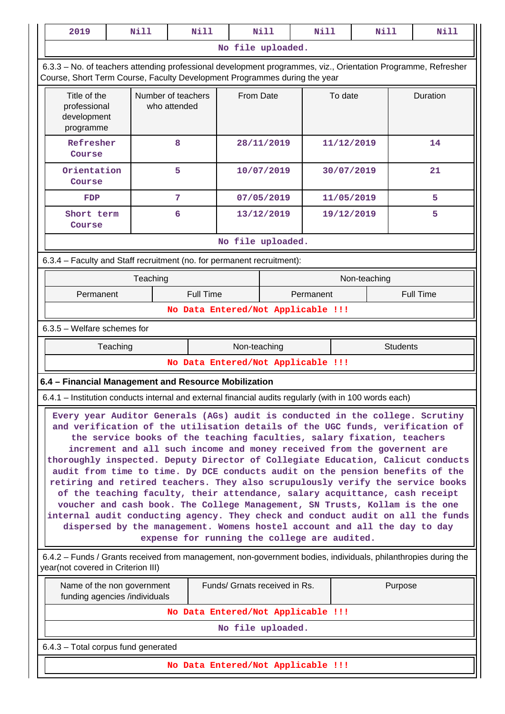| 2019                                                                                                                                                                                       | <b>Nill</b>                                                                                                                                                                                                                                                                                                                                                                                                                                                                                                                                                                                                                                                                                                                                                                                                                                                            | <b>Nill</b>                        |              | Nill                          | <b>Nill</b> |         | <b>Nill</b>     | Nill             |
|--------------------------------------------------------------------------------------------------------------------------------------------------------------------------------------------|------------------------------------------------------------------------------------------------------------------------------------------------------------------------------------------------------------------------------------------------------------------------------------------------------------------------------------------------------------------------------------------------------------------------------------------------------------------------------------------------------------------------------------------------------------------------------------------------------------------------------------------------------------------------------------------------------------------------------------------------------------------------------------------------------------------------------------------------------------------------|------------------------------------|--------------|-------------------------------|-------------|---------|-----------------|------------------|
|                                                                                                                                                                                            |                                                                                                                                                                                                                                                                                                                                                                                                                                                                                                                                                                                                                                                                                                                                                                                                                                                                        |                                    |              | No file uploaded.             |             |         |                 |                  |
| 6.3.3 - No. of teachers attending professional development programmes, viz., Orientation Programme, Refresher<br>Course, Short Term Course, Faculty Development Programmes during the year |                                                                                                                                                                                                                                                                                                                                                                                                                                                                                                                                                                                                                                                                                                                                                                                                                                                                        |                                    |              |                               |             |         |                 |                  |
| Title of the<br>Number of teachers<br>professional<br>who attended<br>development<br>programme                                                                                             |                                                                                                                                                                                                                                                                                                                                                                                                                                                                                                                                                                                                                                                                                                                                                                                                                                                                        |                                    | From Date    |                               |             | To date |                 | Duration         |
| Refresher<br>Course                                                                                                                                                                        | 8                                                                                                                                                                                                                                                                                                                                                                                                                                                                                                                                                                                                                                                                                                                                                                                                                                                                      |                                    |              | 28/11/2019                    |             |         | 11/12/2019      | 14               |
| Orientation<br>Course                                                                                                                                                                      | 5                                                                                                                                                                                                                                                                                                                                                                                                                                                                                                                                                                                                                                                                                                                                                                                                                                                                      |                                    |              | 10/07/2019                    |             |         | 30/07/2019      | 21               |
| <b>FDP</b>                                                                                                                                                                                 | 7                                                                                                                                                                                                                                                                                                                                                                                                                                                                                                                                                                                                                                                                                                                                                                                                                                                                      |                                    |              | 07/05/2019                    |             |         | 11/05/2019      | 5                |
| Short term<br>Course                                                                                                                                                                       | 6                                                                                                                                                                                                                                                                                                                                                                                                                                                                                                                                                                                                                                                                                                                                                                                                                                                                      |                                    |              | 13/12/2019                    |             |         | 19/12/2019      | 5                |
|                                                                                                                                                                                            |                                                                                                                                                                                                                                                                                                                                                                                                                                                                                                                                                                                                                                                                                                                                                                                                                                                                        |                                    |              | No file uploaded.             |             |         |                 |                  |
| 6.3.4 - Faculty and Staff recruitment (no. for permanent recruitment):                                                                                                                     |                                                                                                                                                                                                                                                                                                                                                                                                                                                                                                                                                                                                                                                                                                                                                                                                                                                                        |                                    |              |                               |             |         |                 |                  |
|                                                                                                                                                                                            | Teaching                                                                                                                                                                                                                                                                                                                                                                                                                                                                                                                                                                                                                                                                                                                                                                                                                                                               |                                    |              |                               |             |         | Non-teaching    |                  |
| Permanent                                                                                                                                                                                  |                                                                                                                                                                                                                                                                                                                                                                                                                                                                                                                                                                                                                                                                                                                                                                                                                                                                        | <b>Full Time</b>                   |              |                               | Permanent   |         |                 | <b>Full Time</b> |
|                                                                                                                                                                                            |                                                                                                                                                                                                                                                                                                                                                                                                                                                                                                                                                                                                                                                                                                                                                                                                                                                                        | No Data Entered/Not Applicable !!! |              |                               |             |         |                 |                  |
| $6.3.5$ – Welfare schemes for                                                                                                                                                              |                                                                                                                                                                                                                                                                                                                                                                                                                                                                                                                                                                                                                                                                                                                                                                                                                                                                        |                                    |              |                               |             |         |                 |                  |
| Teaching                                                                                                                                                                                   |                                                                                                                                                                                                                                                                                                                                                                                                                                                                                                                                                                                                                                                                                                                                                                                                                                                                        |                                    | Non-teaching |                               |             |         | <b>Students</b> |                  |
|                                                                                                                                                                                            |                                                                                                                                                                                                                                                                                                                                                                                                                                                                                                                                                                                                                                                                                                                                                                                                                                                                        | No Data Entered/Not Applicable !!! |              |                               |             |         |                 |                  |
| 6.4 - Financial Management and Resource Mobilization<br>6.4.1 - Institution conducts internal and external financial audits regularly (with in 100 words each)                             |                                                                                                                                                                                                                                                                                                                                                                                                                                                                                                                                                                                                                                                                                                                                                                                                                                                                        |                                    |              |                               |             |         |                 |                  |
| Every year Auditor Generals (AGs) audit is conducted in the college. Scrutiny                                                                                                              |                                                                                                                                                                                                                                                                                                                                                                                                                                                                                                                                                                                                                                                                                                                                                                                                                                                                        |                                    |              |                               |             |         |                 |                  |
|                                                                                                                                                                                            | and verification of the utilisation details of the UGC funds, verification of<br>the service books of the teaching faculties, salary fixation, teachers<br>increment and all such income and money received from the governent are<br>thoroughly inspected. Deputy Director of Collegiate Education, Calicut conducts<br>audit from time to time. Dy DCE conducts audit on the pension benefits of the<br>retiring and retired teachers. They also scrupulously verify the service books<br>of the teaching faculty, their attendance, salary acquittance, cash receipt<br>voucher and cash book. The College Management, SN Trusts, Kollam is the one<br>internal audit conducting agency. They check and conduct audit on all the funds<br>dispersed by the management. Womens hostel account and all the day to day<br>expense for running the college are audited. |                                    |              |                               |             |         |                 |                  |
| 6.4.2 – Funds / Grants received from management, non-government bodies, individuals, philanthropies during the<br>year(not covered in Criterion III)                                       |                                                                                                                                                                                                                                                                                                                                                                                                                                                                                                                                                                                                                                                                                                                                                                                                                                                                        |                                    |              |                               |             |         |                 |                  |
| Name of the non government<br>funding agencies /individuals                                                                                                                                |                                                                                                                                                                                                                                                                                                                                                                                                                                                                                                                                                                                                                                                                                                                                                                                                                                                                        |                                    |              | Funds/ Grnats received in Rs. |             |         | Purpose         |                  |
|                                                                                                                                                                                            |                                                                                                                                                                                                                                                                                                                                                                                                                                                                                                                                                                                                                                                                                                                                                                                                                                                                        | No Data Entered/Not Applicable !!! |              |                               |             |         |                 |                  |
|                                                                                                                                                                                            |                                                                                                                                                                                                                                                                                                                                                                                                                                                                                                                                                                                                                                                                                                                                                                                                                                                                        |                                    |              | No file uploaded.             |             |         |                 |                  |
| 6.4.3 - Total corpus fund generated                                                                                                                                                        |                                                                                                                                                                                                                                                                                                                                                                                                                                                                                                                                                                                                                                                                                                                                                                                                                                                                        |                                    |              |                               |             |         |                 |                  |
|                                                                                                                                                                                            |                                                                                                                                                                                                                                                                                                                                                                                                                                                                                                                                                                                                                                                                                                                                                                                                                                                                        | No Data Entered/Not Applicable !!! |              |                               |             |         |                 |                  |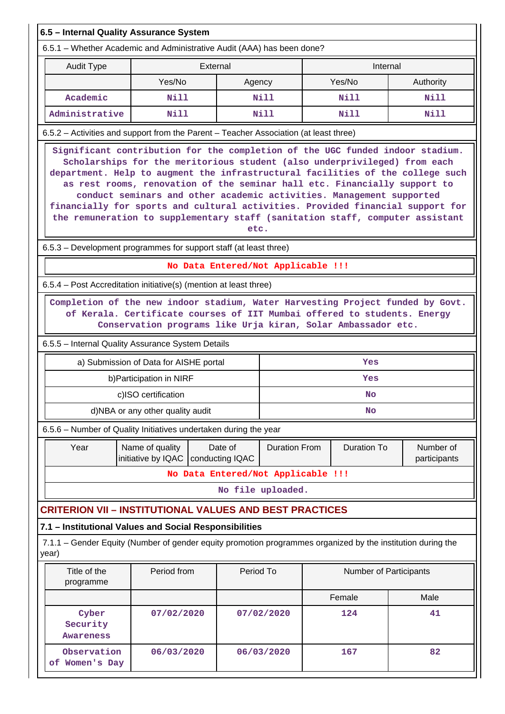| 6.5 - Internal Quality Assurance System                                                                              |                                                                                                                                                                                                                                                                                                                                                                                                                                                                                                                                                                              |                            |                      |  |                    |                           |  |  |  |
|----------------------------------------------------------------------------------------------------------------------|------------------------------------------------------------------------------------------------------------------------------------------------------------------------------------------------------------------------------------------------------------------------------------------------------------------------------------------------------------------------------------------------------------------------------------------------------------------------------------------------------------------------------------------------------------------------------|----------------------------|----------------------|--|--------------------|---------------------------|--|--|--|
| 6.5.1 – Whether Academic and Administrative Audit (AAA) has been done?                                               |                                                                                                                                                                                                                                                                                                                                                                                                                                                                                                                                                                              |                            |                      |  |                    |                           |  |  |  |
| <b>Audit Type</b>                                                                                                    | External                                                                                                                                                                                                                                                                                                                                                                                                                                                                                                                                                                     |                            |                      |  | Internal           |                           |  |  |  |
|                                                                                                                      | Yes/No                                                                                                                                                                                                                                                                                                                                                                                                                                                                                                                                                                       | Agency                     |                      |  | Yes/No             | Authority                 |  |  |  |
| Academic                                                                                                             | Nill                                                                                                                                                                                                                                                                                                                                                                                                                                                                                                                                                                         |                            | Nill                 |  | Nill               | Nill                      |  |  |  |
| Administrative                                                                                                       | <b>Nill</b>                                                                                                                                                                                                                                                                                                                                                                                                                                                                                                                                                                  |                            | <b>Nill</b>          |  | <b>Nill</b>        | Nill                      |  |  |  |
| 6.5.2 - Activities and support from the Parent - Teacher Association (at least three)                                |                                                                                                                                                                                                                                                                                                                                                                                                                                                                                                                                                                              |                            |                      |  |                    |                           |  |  |  |
|                                                                                                                      | Significant contribution for the completion of the UGC funded indoor stadium.<br>Scholarships for the meritorious student (also underprivileged) from each<br>department. Help to augment the infrastructural facilities of the college such<br>as rest rooms, renovation of the seminar hall etc. Financially support to<br>conduct seminars and other academic activities. Management supported<br>financially for sports and cultural activities. Provided financial support for<br>the remuneration to supplementary staff (sanitation staff, computer assistant<br>etc. |                            |                      |  |                    |                           |  |  |  |
| 6.5.3 – Development programmes for support staff (at least three)                                                    |                                                                                                                                                                                                                                                                                                                                                                                                                                                                                                                                                                              |                            |                      |  |                    |                           |  |  |  |
|                                                                                                                      | No Data Entered/Not Applicable !!!                                                                                                                                                                                                                                                                                                                                                                                                                                                                                                                                           |                            |                      |  |                    |                           |  |  |  |
| 6.5.4 - Post Accreditation initiative(s) (mention at least three)                                                    |                                                                                                                                                                                                                                                                                                                                                                                                                                                                                                                                                                              |                            |                      |  |                    |                           |  |  |  |
| 6.5.5 - Internal Quality Assurance System Details                                                                    | Completion of the new indoor stadium, Water Harvesting Project funded by Govt.<br>of Kerala. Certificate courses of IIT Mumbai offered to students. Energy<br>Conservation programs like Urja kiran, Solar Ambassador etc.                                                                                                                                                                                                                                                                                                                                                   |                            |                      |  |                    |                           |  |  |  |
|                                                                                                                      | a) Submission of Data for AISHE portal                                                                                                                                                                                                                                                                                                                                                                                                                                                                                                                                       |                            |                      |  | Yes                |                           |  |  |  |
|                                                                                                                      | b) Participation in NIRF                                                                                                                                                                                                                                                                                                                                                                                                                                                                                                                                                     |                            |                      |  | Yes                |                           |  |  |  |
|                                                                                                                      | c)ISO certification                                                                                                                                                                                                                                                                                                                                                                                                                                                                                                                                                          |                            |                      |  | No                 |                           |  |  |  |
|                                                                                                                      | d)NBA or any other quality audit                                                                                                                                                                                                                                                                                                                                                                                                                                                                                                                                             |                            |                      |  | <b>No</b>          |                           |  |  |  |
| 6.5.6 - Number of Quality Initiatives undertaken during the year                                                     |                                                                                                                                                                                                                                                                                                                                                                                                                                                                                                                                                                              |                            |                      |  |                    |                           |  |  |  |
| Year                                                                                                                 | Name of quality<br>initiative by IQAC                                                                                                                                                                                                                                                                                                                                                                                                                                                                                                                                        | Date of<br>conducting IQAC | <b>Duration From</b> |  | <b>Duration To</b> | Number of<br>participants |  |  |  |
|                                                                                                                      | No Data Entered/Not Applicable !!!                                                                                                                                                                                                                                                                                                                                                                                                                                                                                                                                           |                            |                      |  |                    |                           |  |  |  |
|                                                                                                                      |                                                                                                                                                                                                                                                                                                                                                                                                                                                                                                                                                                              | No file uploaded.          |                      |  |                    |                           |  |  |  |
| <b>CRITERION VII - INSTITUTIONAL VALUES AND BEST PRACTICES</b>                                                       |                                                                                                                                                                                                                                                                                                                                                                                                                                                                                                                                                                              |                            |                      |  |                    |                           |  |  |  |
| 7.1 - Institutional Values and Social Responsibilities                                                               |                                                                                                                                                                                                                                                                                                                                                                                                                                                                                                                                                                              |                            |                      |  |                    |                           |  |  |  |
| 7.1.1 – Gender Equity (Number of gender equity promotion programmes organized by the institution during the<br>year) |                                                                                                                                                                                                                                                                                                                                                                                                                                                                                                                                                                              |                            |                      |  |                    |                           |  |  |  |
| Title of the<br>programme                                                                                            | Period from<br>Period To<br>Number of Participants                                                                                                                                                                                                                                                                                                                                                                                                                                                                                                                           |                            |                      |  |                    |                           |  |  |  |
|                                                                                                                      |                                                                                                                                                                                                                                                                                                                                                                                                                                                                                                                                                                              |                            |                      |  | Female             | Male                      |  |  |  |
| Cyber<br>Security<br><b>Awareness</b>                                                                                | 07/02/2020                                                                                                                                                                                                                                                                                                                                                                                                                                                                                                                                                                   |                            | 07/02/2020           |  | 124                | 41                        |  |  |  |
| Observation<br>of Women's Day                                                                                        | 06/03/2020                                                                                                                                                                                                                                                                                                                                                                                                                                                                                                                                                                   |                            | 06/03/2020           |  | 167                | 82                        |  |  |  |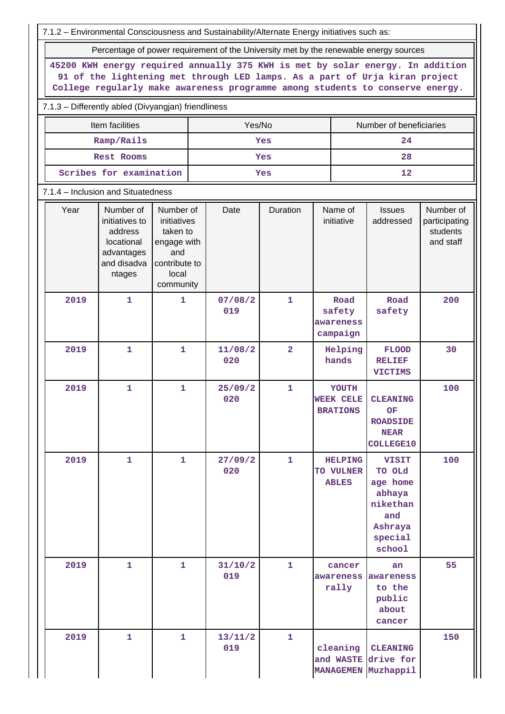| 7.1.2 - Environmental Consciousness and Sustainability/Alternate Energy initiatives such as: |                                                                                                                                                                                                                                                |                                                                                                   |  |                |                |  |                                                    |                                                                                                 |                                                     |  |  |
|----------------------------------------------------------------------------------------------|------------------------------------------------------------------------------------------------------------------------------------------------------------------------------------------------------------------------------------------------|---------------------------------------------------------------------------------------------------|--|----------------|----------------|--|----------------------------------------------------|-------------------------------------------------------------------------------------------------|-----------------------------------------------------|--|--|
|                                                                                              | Percentage of power requirement of the University met by the renewable energy sources                                                                                                                                                          |                                                                                                   |  |                |                |  |                                                    |                                                                                                 |                                                     |  |  |
|                                                                                              | 45200 KWH energy required annually 375 KWH is met by solar energy. In addition<br>91 of the lightening met through LED lamps. As a part of Urja kiran project<br>College regularly make awareness programme among students to conserve energy. |                                                                                                   |  |                |                |  |                                                    |                                                                                                 |                                                     |  |  |
|                                                                                              | 7.1.3 - Differently abled (Divyangjan) friendliness                                                                                                                                                                                            |                                                                                                   |  |                |                |  |                                                    |                                                                                                 |                                                     |  |  |
| Item facilities<br>Yes/No<br>Number of beneficiaries                                         |                                                                                                                                                                                                                                                |                                                                                                   |  |                |                |  |                                                    |                                                                                                 |                                                     |  |  |
|                                                                                              | Ramp/Rails                                                                                                                                                                                                                                     |                                                                                                   |  |                | Yes            |  |                                                    | 24                                                                                              |                                                     |  |  |
|                                                                                              | <b>Rest Rooms</b>                                                                                                                                                                                                                              |                                                                                                   |  |                | Yes            |  |                                                    | 28                                                                                              |                                                     |  |  |
| Scribes for examination                                                                      |                                                                                                                                                                                                                                                |                                                                                                   |  |                | Yes            |  |                                                    | 12                                                                                              |                                                     |  |  |
| 7.1.4 - Inclusion and Situatedness                                                           |                                                                                                                                                                                                                                                |                                                                                                   |  |                |                |  |                                                    |                                                                                                 |                                                     |  |  |
| Year                                                                                         | Number of<br>initiatives to<br>address<br>locational<br>advantages<br>and disadva<br>ntages                                                                                                                                                    | Number of<br>initiatives<br>taken to<br>engage with<br>and<br>contribute to<br>local<br>community |  | Date           | Duration       |  | Name of<br>initiative                              | <b>Issues</b><br>addressed                                                                      | Number of<br>participating<br>students<br>and staff |  |  |
| 2019                                                                                         | $\mathbf{1}$                                                                                                                                                                                                                                   | 1                                                                                                 |  | 07/08/2<br>019 | $\mathbf{1}$   |  | Road<br>safety<br>awareness<br>campaign            | Road<br>safety                                                                                  | 200                                                 |  |  |
| 2019                                                                                         | $\mathbf{1}$                                                                                                                                                                                                                                   | $\mathbf{1}$                                                                                      |  | 11/08/2<br>020 | $\overline{2}$ |  | Helping<br>hands                                   | <b>FLOOD</b><br><b>RELIEF</b><br><b>VICTIMS</b>                                                 | 30                                                  |  |  |
| 2019                                                                                         | 1                                                                                                                                                                                                                                              | 1                                                                                                 |  | 25/09/2<br>020 | $\mathbf{1}$   |  | YOUTH<br><b>WEEK CELE</b><br><b>BRATIONS</b>       | <b>CLEANING</b><br>OF<br><b>ROADSIDE</b><br><b>NEAR</b><br><b>COLLEGE10</b>                     | 100                                                 |  |  |
| 2019                                                                                         | $\mathbf 1$                                                                                                                                                                                                                                    | $\mathbf{1}$                                                                                      |  | 27/09/2<br>020 | $\mathbf{1}$   |  | <b>HELPING</b><br><b>TO VULNER</b><br><b>ABLES</b> | <b>VISIT</b><br>TO OLd<br>age home<br>abhaya<br>nikethan<br>and<br>Ashraya<br>special<br>school | 100                                                 |  |  |
| 2019                                                                                         | 1                                                                                                                                                                                                                                              | $\mathbf{1}$                                                                                      |  | 31/10/2<br>019 | $\mathbf{1}$   |  | cancer<br>rally                                    | an<br>awareness awareness<br>to the<br>public<br>about<br>cancer                                | 55                                                  |  |  |
| 2019                                                                                         | $\mathbf{1}$                                                                                                                                                                                                                                   | $\mathbf{1}$                                                                                      |  | 13/11/2<br>019 | $\mathbf{1}$   |  | cleaning                                           | <b>CLEANING</b><br>and WASTE drive for<br>MANAGEMEN Muzhappil                                   | 150                                                 |  |  |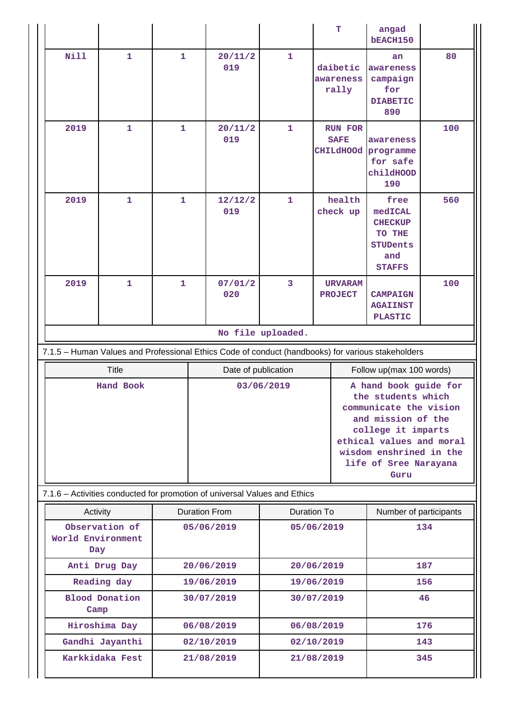|                                                 |                       |                                         |                                                                                                   |                                                                                                                                                                                                                         | т                                                 | angad<br>bEACH150                                                                      |     |
|-------------------------------------------------|-----------------------|-----------------------------------------|---------------------------------------------------------------------------------------------------|-------------------------------------------------------------------------------------------------------------------------------------------------------------------------------------------------------------------------|---------------------------------------------------|----------------------------------------------------------------------------------------|-----|
| <b>Nill</b>                                     | $\mathbf 1$           | $\mathbf{1}$                            | 20/11/2<br>019                                                                                    | $\mathbf{1}$                                                                                                                                                                                                            | daibetic<br>awareness<br>rally                    | an<br>awareness<br>campaign<br>for<br><b>DIABETIC</b><br>890                           | 80  |
| 2019                                            | $\mathbf{1}$          | $\mathbf{1}$                            | 20/11/2<br>019                                                                                    | $\mathbf{1}$                                                                                                                                                                                                            | <b>RUN FOR</b><br><b>SAFE</b><br><b>CHILdHOOd</b> | awareness<br>programme<br>for safe<br>childHOOD<br>190                                 | 100 |
| 2019                                            | $\mathbf{1}$          | $\mathbf{1}$                            | 12/12/2<br>019                                                                                    | $\mathbf{1}$                                                                                                                                                                                                            | health<br>check up                                | free<br>medICAL<br><b>CHECKUP</b><br>TO THE<br><b>STUDents</b><br>and<br><b>STAFFS</b> | 560 |
| 2019                                            | 1                     | $\mathbf{1}$                            | 07/01/2<br>020                                                                                    | 3                                                                                                                                                                                                                       | <b>URVARAM</b><br><b>PROJECT</b>                  | <b>CAMPAIGN</b><br><b>AGAIINST</b><br><b>PLASTIC</b>                                   | 100 |
|                                                 |                       |                                         |                                                                                                   | No file uploaded.                                                                                                                                                                                                       |                                                   |                                                                                        |     |
|                                                 |                       |                                         | 7.1.5 - Human Values and Professional Ethics Code of conduct (handbooks) for various stakeholders |                                                                                                                                                                                                                         |                                                   |                                                                                        |     |
|                                                 | <b>Title</b>          |                                         | Date of publication                                                                               |                                                                                                                                                                                                                         |                                                   | Follow up(max 100 words)                                                               |     |
|                                                 | Hand Book             |                                         |                                                                                                   | 03/06/2019<br>A hand book guide for<br>the students which<br>communicate the vision<br>and mission of the<br>college it imparts<br>ethical values and moral<br>wisdom enshrined in the<br>life of Sree Narayana<br>Guru |                                                   |                                                                                        |     |
|                                                 |                       |                                         | 7.1.6 - Activities conducted for promotion of universal Values and Ethics                         |                                                                                                                                                                                                                         |                                                   |                                                                                        |     |
| Duration To<br><b>Duration From</b><br>Activity |                       |                                         |                                                                                                   |                                                                                                                                                                                                                         | Number of participants                            |                                                                                        |     |
| World Environment<br>Day                        | Observation of        |                                         | 05/06/2019                                                                                        | 05/06/2019                                                                                                                                                                                                              |                                                   |                                                                                        | 134 |
|                                                 | Anti Drug Day         |                                         | 20/06/2019                                                                                        | 20/06/2019                                                                                                                                                                                                              |                                                   |                                                                                        | 187 |
|                                                 |                       | Reading day<br>19/06/2019<br>19/06/2019 |                                                                                                   |                                                                                                                                                                                                                         |                                                   |                                                                                        |     |
|                                                 |                       |                                         |                                                                                                   |                                                                                                                                                                                                                         |                                                   |                                                                                        | 156 |
| Camp                                            | <b>Blood Donation</b> |                                         | 30/07/2019                                                                                        |                                                                                                                                                                                                                         | 30/07/2019                                        |                                                                                        | 46  |

 **Gandhi Jayanthi 02/10/2019 02/10/2019 143 Karkkidaka Fest 21/08/2019 21/08/2019 345**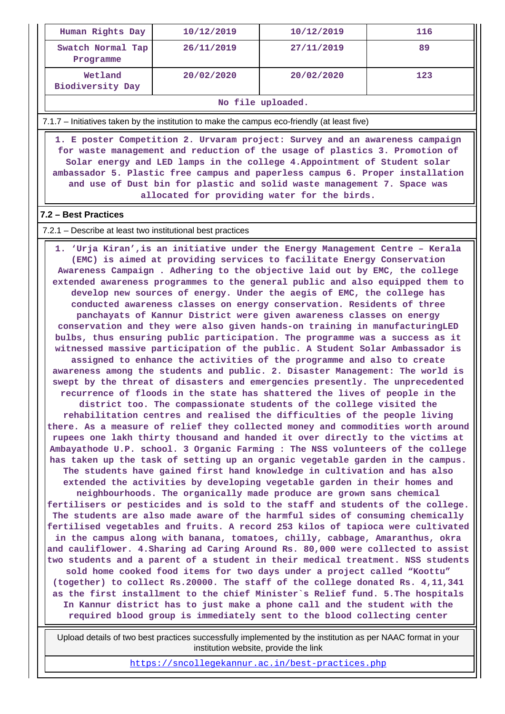| Human Rights Day               | 10/12/2019 | 10/12/2019 | 116 |
|--------------------------------|------------|------------|-----|
| Swatch Normal Tap<br>Programme | 26/11/2019 | 27/11/2019 | 89  |
| Wetland<br>Biodiversity Day    | 20/02/2020 | 20/02/2020 | 123 |

**No file uploaded.**

7.1.7 – Initiatives taken by the institution to make the campus eco-friendly (at least five)

 **1. E poster Competition 2. Urvaram project: Survey and an awareness campaign for waste management and reduction of the usage of plastics 3. Promotion of Solar energy and LED lamps in the college 4.Appointment of Student solar ambassador 5. Plastic free campus and paperless campus 6. Proper installation and use of Dust bin for plastic and solid waste management 7. Space was allocated for providing water for the birds.**

#### **7.2 – Best Practices**

#### 7.2.1 – Describe at least two institutional best practices

 **1. 'Urja Kiran',is an initiative under the Energy Management Centre – Kerala (EMC) is aimed at providing services to facilitate Energy Conservation Awareness Campaign . Adhering to the objective laid out by EMC, the college extended awareness programmes to the general public and also equipped them to develop new sources of energy. Under the aegis of EMC, the college has conducted awareness classes on energy conservation. Residents of three panchayats of Kannur District were given awareness classes on energy conservation and they were also given hands-on training in manufacturingLED bulbs, thus ensuring public participation. The programme was a success as it witnessed massive participation of the public. A Student Solar Ambassador is assigned to enhance the activities of the programme and also to create awareness among the students and public. 2. Disaster Management: The world is swept by the threat of disasters and emergencies presently. The unprecedented recurrence of floods in the state has shattered the lives of people in the district too. The compassionate students of the college visited the rehabilitation centres and realised the difficulties of the people living there. As a measure of relief they collected money and commodities worth around rupees one lakh thirty thousand and handed it over directly to the victims at Ambayathode U.P. school. 3 Organic Farming : The NSS volunteers of the college has taken up the task of setting up an organic vegetable garden in the campus. The students have gained first hand knowledge in cultivation and has also extended the activities by developing vegetable garden in their homes and neighbourhoods. The organically made produce are grown sans chemical fertilisers or pesticides and is sold to the staff and students of the college. The students are also made aware of the harmful sides of consuming chemically fertilised vegetables and fruits. A record 253 kilos of tapioca were cultivated in the campus along with banana, tomatoes, chilly, cabbage, Amaranthus, okra and cauliflower. 4.Sharing ad Caring Around Rs. 80,000 were collected to assist two students and a parent of a student in their medical treatment. NSS students sold home cooked food items for two days under a project called "Koottu" (together) to collect Rs.20000. The staff of the college donated Rs. 4,11,341 as the first installment to the chief Minister`s Relief fund. 5.The hospitals In Kannur district has to just make a phone call and the student with the required blood group is immediately sent to the blood collecting center**

 Upload details of two best practices successfully implemented by the institution as per NAAC format in your institution website, provide the link

<https://sncollegekannur.ac.in/best-practices.php>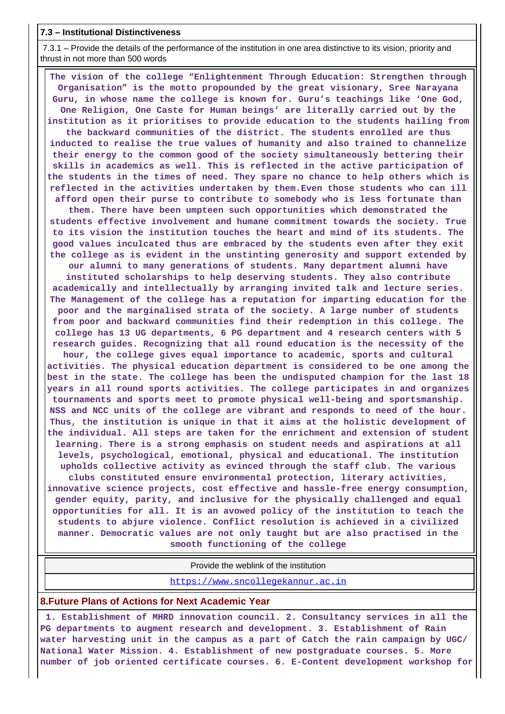#### **7.3 – Institutional Distinctiveness**

 7.3.1 – Provide the details of the performance of the institution in one area distinctive to its vision, priority and thrust in not more than 500 words

 **The vision of the college "Enlightenment Through Education: Strengthen through Organisation" is the motto propounded by the great visionary, Sree Narayana Guru, in whose name the college is known for. Guru's teachings like 'One God, One Religion, One Caste for Human beings' are literally carried out by the institution as it prioritises to provide education to the students hailing from the backward communities of the district. The students enrolled are thus inducted to realise the true values of humanity and also trained to channelize their energy to the common good of the society simultaneously bettering their skills in academics as well. This is reflected in the active participation of the students in the times of need. They spare no chance to help others which is reflected in the activities undertaken by them.Even those students who can ill afford open their purse to contribute to somebody who is less fortunate than them. There have been umpteen such opportunities which demonstrated the students effective involvement and humane commitment towards the society. True to its vision the institution touches the heart and mind of its students. The good values inculcated thus are embraced by the students even after they exit the college as is evident in the unstinting generosity and support extended by our alumni to many generations of students. Many department alumni have instituted scholarships to help deserving students. They also contribute academically and intellectually by arranging invited talk and lecture series. The Management of the college has a reputation for imparting education for the poor and the marginalised strata of the society. A large number of students from poor and backward communities find their redemption in this college. The college has 13 UG departments, 6 PG department and 4 research centers with 5 research guides. Recognizing that all round education is the necessity of the hour, the college gives equal importance to academic, sports and cultural activities. The physical education department is considered to be one among the best in the state. The college has been the undisputed champion for the last 18 years in all round sports activities. The college participates in and organizes tournaments and sports meet to promote physical well-being and sportsmanship. NSS and NCC units of the college are vibrant and responds to need of the hour. Thus, the institution is unique in that it aims at the holistic development of the individual. All steps are taken for the enrichment and extension of student learning. There is a strong emphasis on student needs and aspirations at all levels, psychological, emotional, physical and educational. The institution upholds collective activity as evinced through the staff club. The various clubs constituted ensure environmental protection, literary activities, innovative science projects, cost effective and hassle-free energy consumption, gender equity, parity, and inclusive for the physically challenged and equal opportunities for all. It is an avowed policy of the institution to teach the students to abjure violence. Conflict resolution is achieved in a civilized manner. Democratic values are not only taught but are also practised in the smooth functioning of the college**

#### Provide the weblink of the institution

<https://www.sncollegekannur.ac.in>

#### **8.Future Plans of Actions for Next Academic Year**

 **1. Establishment of MHRD innovation council. 2. Consultancy services in all the PG departments to augment research and development. 3. Establishment of Rain water harvesting unit in the campus as a part of Catch the rain campaign by UGC/ National Water Mission. 4. Establishment of new postgraduate courses. 5. More number of job oriented certificate courses. 6. E-Content development workshop for**